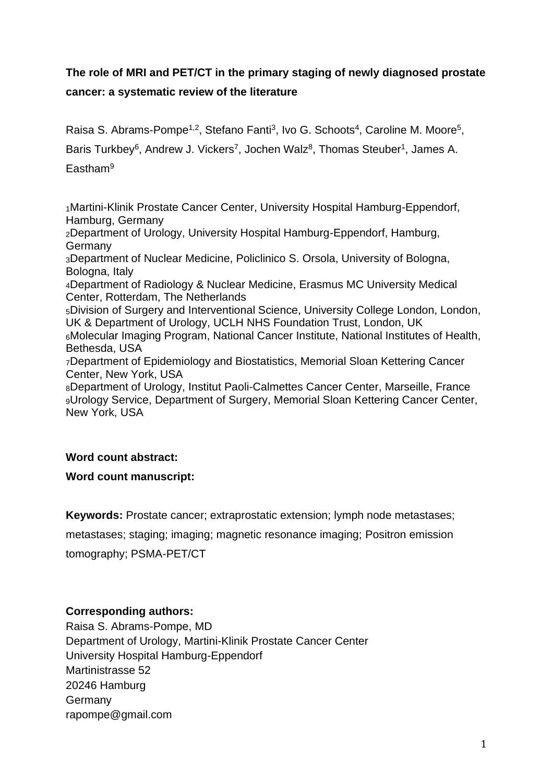# **The role of MRI and PET/CT in the primary staging of newly diagnosed prostate cancer: a systematic review of the literature**

Raisa S. Abrams-Pompe<sup>1,2</sup>, Stefano Fanti<sup>3</sup>, Ivo G. Schoots<sup>4</sup>, Caroline M. Moore<sup>5</sup>,

Baris Turkbey<sup>6</sup>, Andrew J. Vickers<sup>7</sup>, Jochen Walz<sup>8</sup>, Thomas Steuber<sup>1</sup>, James A.

Eastham<sup>9</sup>

<sup>1</sup>Martini-Klinik Prostate Cancer Center, University Hospital Hamburg-Eppendorf, Hamburg, Germany

<sup>2</sup>Department of Urology, University Hospital Hamburg-Eppendorf, Hamburg, **Germany** 

<sup>3</sup>Department of Nuclear Medicine, Policlinico S. Orsola, University of Bologna, Bologna, Italy

<sup>4</sup>Department of Radiology & Nuclear Medicine, Erasmus MC University Medical Center, Rotterdam, The Netherlands

<sup>5</sup>Division of Surgery and Interventional Science, University College London, London, UK & Department of Urology, UCLH NHS Foundation Trust, London, UK <sup>6</sup>Molecular Imaging Program, National Cancer Institute, National Institutes of Health, Bethesda, USA

<sup>7</sup>Department of Epidemiology and Biostatistics, Memorial Sloan Kettering Cancer Center, New York, USA

<sup>8</sup>Department of Urology, Institut Paoli-Calmettes Cancer Center, Marseille, France <sup>9</sup>Urology Service, Department of Surgery, Memorial Sloan Kettering Cancer Center, New York, USA

### **Word count abstract:**

### **Word count manuscript:**

**Keywords:** Prostate cancer; extraprostatic extension; lymph node metastases;

metastases; staging; imaging; magnetic resonance imaging; Positron emission tomography; PSMA-PET/CT

### **Corresponding authors:**

Raisa S. Abrams-Pompe, MD Department of Urology, Martini-Klinik Prostate Cancer Center University Hospital Hamburg-Eppendorf Martinistrasse 52 20246 Hamburg **Germany** rapompe@gmail.com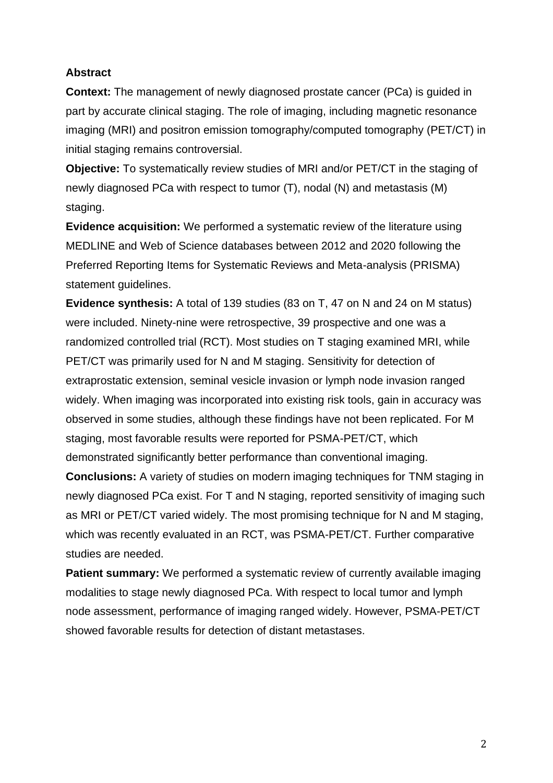### **Abstract**

**Context:** The management of newly diagnosed prostate cancer (PCa) is guided in part by accurate clinical staging. The role of imaging, including magnetic resonance imaging (MRI) and positron emission tomography/computed tomography (PET/CT) in initial staging remains controversial.

**Objective:** To systematically review studies of MRI and/or PET/CT in the staging of newly diagnosed PCa with respect to tumor (T), nodal (N) and metastasis (M) staging.

**Evidence acquisition:** We performed a systematic review of the literature using MEDLINE and Web of Science databases between 2012 and 2020 following the Preferred Reporting Items for Systematic Reviews and Meta-analysis (PRISMA) statement guidelines.

**Evidence synthesis:** A total of 139 studies (83 on T, 47 on N and 24 on M status) were included. Ninety-nine were retrospective, 39 prospective and one was a randomized controlled trial (RCT). Most studies on T staging examined MRI, while PET/CT was primarily used for N and M staging. Sensitivity for detection of extraprostatic extension, seminal vesicle invasion or lymph node invasion ranged widely. When imaging was incorporated into existing risk tools, gain in accuracy was observed in some studies, although these findings have not been replicated. For M staging, most favorable results were reported for PSMA-PET/CT, which demonstrated significantly better performance than conventional imaging.

**Conclusions:** A variety of studies on modern imaging techniques for TNM staging in newly diagnosed PCa exist. For T and N staging, reported sensitivity of imaging such as MRI or PET/CT varied widely. The most promising technique for N and M staging, which was recently evaluated in an RCT, was PSMA-PET/CT. Further comparative studies are needed.

**Patient summary:** We performed a systematic review of currently available imaging modalities to stage newly diagnosed PCa. With respect to local tumor and lymph node assessment, performance of imaging ranged widely. However, PSMA-PET/CT showed favorable results for detection of distant metastases.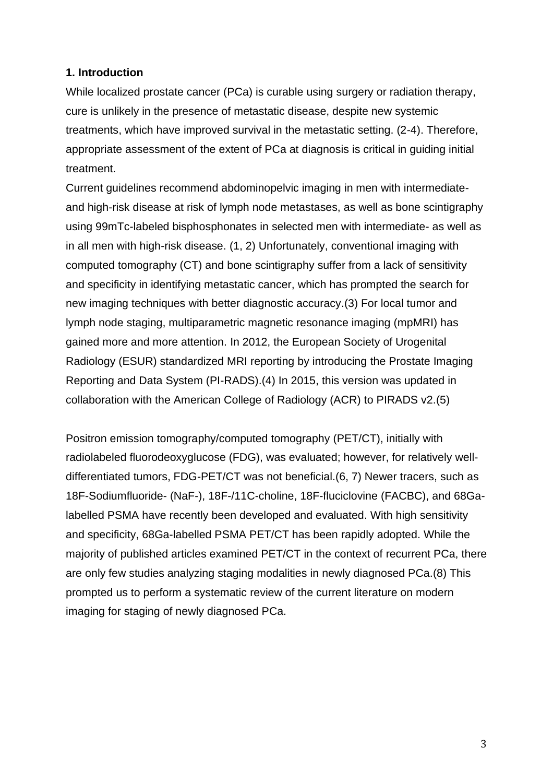### **1. Introduction**

While localized prostate cancer (PCa) is curable using surgery or radiation therapy, cure is unlikely in the presence of metastatic disease, despite new systemic treatments, which have improved survival in the metastatic setting. (2-4). Therefore, appropriate assessment of the extent of PCa at diagnosis is critical in guiding initial treatment.

Current guidelines recommend abdominopelvic imaging in men with intermediateand high-risk disease at risk of lymph node metastases, as well as bone scintigraphy using 99mTc-labeled bisphosphonates in selected men with intermediate- as well as in all men with high-risk disease. (1, 2) Unfortunately, conventional imaging with computed tomography (CT) and bone scintigraphy suffer from a lack of sensitivity and specificity in identifying metastatic cancer, which has prompted the search for new imaging techniques with better diagnostic accuracy.(3) For local tumor and lymph node staging, multiparametric magnetic resonance imaging (mpMRI) has gained more and more attention. In 2012, the European Society of Urogenital Radiology (ESUR) standardized MRI reporting by introducing the Prostate Imaging Reporting and Data System (PI-RADS).(4) In 2015, this version was updated in collaboration with the American College of Radiology (ACR) to PIRADS v2.(5)

Positron emission tomography/computed tomography (PET/CT), initially with radiolabeled fluorodeoxyglucose (FDG), was evaluated; however, for relatively welldifferentiated tumors, FDG-PET/CT was not beneficial.(6, 7) Newer tracers, such as 18F-Sodiumfluoride- (NaF-), 18F-/11C-choline, 18F-fluciclovine (FACBC), and 68Galabelled PSMA have recently been developed and evaluated. With high sensitivity and specificity, 68Ga-labelled PSMA PET/CT has been rapidly adopted. While the majority of published articles examined PET/CT in the context of recurrent PCa, there are only few studies analyzing staging modalities in newly diagnosed PCa.(8) This prompted us to perform a systematic review of the current literature on modern imaging for staging of newly diagnosed PCa.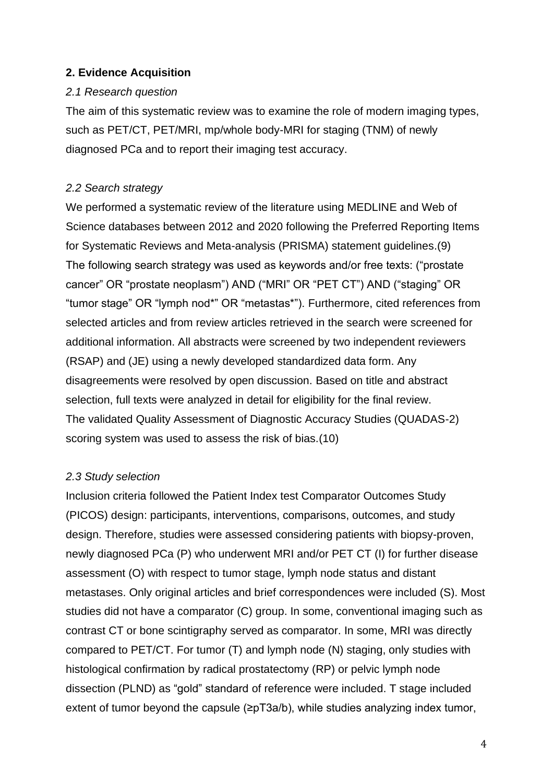### **2. Evidence Acquisition**

### *2.1 Research question*

The aim of this systematic review was to examine the role of modern imaging types, such as PET/CT, PET/MRI, mp/whole body-MRI for staging (TNM) of newly diagnosed PCa and to report their imaging test accuracy.

### *2.2 Search strategy*

We performed a systematic review of the literature using MEDLINE and Web of Science databases between 2012 and 2020 following the Preferred Reporting Items for Systematic Reviews and Meta-analysis (PRISMA) statement guidelines.(9) The following search strategy was used as keywords and/or free texts: ("prostate cancer" OR "prostate neoplasm") AND ("MRI" OR "PET CT") AND ("staging" OR "tumor stage" OR "lymph nod\*" OR "metastas\*"). Furthermore, cited references from selected articles and from review articles retrieved in the search were screened for additional information. All abstracts were screened by two independent reviewers (RSAP) and (JE) using a newly developed standardized data form. Any disagreements were resolved by open discussion. Based on title and abstract selection, full texts were analyzed in detail for eligibility for the final review. The validated Quality Assessment of Diagnostic Accuracy Studies (QUADAS-2) scoring system was used to assess the risk of bias.(10)

### *2.3 Study selection*

Inclusion criteria followed the Patient Index test Comparator Outcomes Study (PICOS) design: participants, interventions, comparisons, outcomes, and study design. Therefore, studies were assessed considering patients with biopsy-proven, newly diagnosed PCa (P) who underwent MRI and/or PET CT (I) for further disease assessment (O) with respect to tumor stage, lymph node status and distant metastases. Only original articles and brief correspondences were included (S). Most studies did not have a comparator (C) group. In some, conventional imaging such as contrast CT or bone scintigraphy served as comparator. In some, MRI was directly compared to PET/CT. For tumor (T) and lymph node (N) staging, only studies with histological confirmation by radical prostatectomy (RP) or pelvic lymph node dissection (PLND) as "gold" standard of reference were included. T stage included extent of tumor beyond the capsule (≥pT3a/b), while studies analyzing index tumor,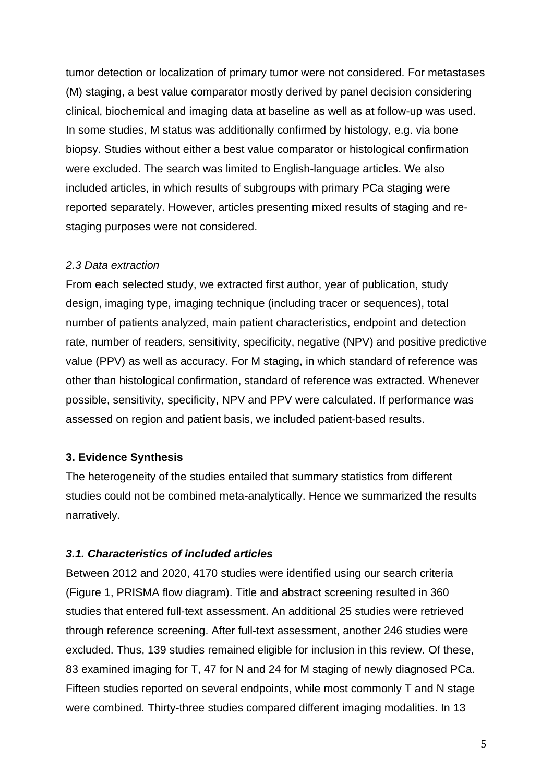tumor detection or localization of primary tumor were not considered. For metastases (M) staging, a best value comparator mostly derived by panel decision considering clinical, biochemical and imaging data at baseline as well as at follow-up was used. In some studies, M status was additionally confirmed by histology, e.g. via bone biopsy. Studies without either a best value comparator or histological confirmation were excluded. The search was limited to English-language articles. We also included articles, in which results of subgroups with primary PCa staging were reported separately. However, articles presenting mixed results of staging and restaging purposes were not considered.

#### *2.3 Data extraction*

From each selected study, we extracted first author, year of publication, study design, imaging type, imaging technique (including tracer or sequences), total number of patients analyzed, main patient characteristics, endpoint and detection rate, number of readers, sensitivity, specificity, negative (NPV) and positive predictive value (PPV) as well as accuracy. For M staging, in which standard of reference was other than histological confirmation, standard of reference was extracted. Whenever possible, sensitivity, specificity, NPV and PPV were calculated. If performance was assessed on region and patient basis, we included patient-based results.

#### **3. Evidence Synthesis**

The heterogeneity of the studies entailed that summary statistics from different studies could not be combined meta-analytically. Hence we summarized the results narratively.

#### *3.1. Characteristics of included articles*

Between 2012 and 2020, 4170 studies were identified using our search criteria (Figure 1, PRISMA flow diagram). Title and abstract screening resulted in 360 studies that entered full-text assessment. An additional 25 studies were retrieved through reference screening. After full-text assessment, another 246 studies were excluded. Thus, 139 studies remained eligible for inclusion in this review. Of these, 83 examined imaging for T, 47 for N and 24 for M staging of newly diagnosed PCa. Fifteen studies reported on several endpoints, while most commonly T and N stage were combined. Thirty-three studies compared different imaging modalities. In 13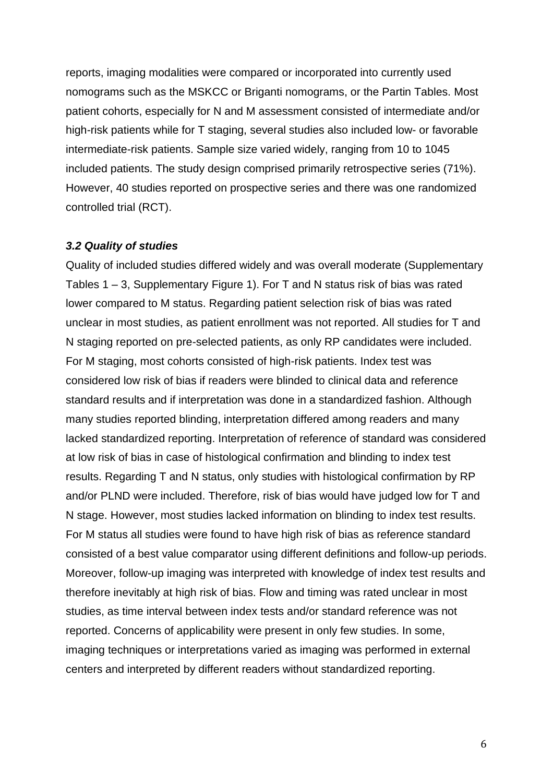reports, imaging modalities were compared or incorporated into currently used nomograms such as the MSKCC or Briganti nomograms, or the Partin Tables. Most patient cohorts, especially for N and M assessment consisted of intermediate and/or high-risk patients while for T staging, several studies also included low- or favorable intermediate-risk patients. Sample size varied widely, ranging from 10 to 1045 included patients. The study design comprised primarily retrospective series (71%). However, 40 studies reported on prospective series and there was one randomized controlled trial (RCT).

#### *3.2 Quality of studies*

Quality of included studies differed widely and was overall moderate (Supplementary Tables 1 – 3, Supplementary Figure 1). For T and N status risk of bias was rated lower compared to M status. Regarding patient selection risk of bias was rated unclear in most studies, as patient enrollment was not reported. All studies for T and N staging reported on pre-selected patients, as only RP candidates were included. For M staging, most cohorts consisted of high-risk patients. Index test was considered low risk of bias if readers were blinded to clinical data and reference standard results and if interpretation was done in a standardized fashion. Although many studies reported blinding, interpretation differed among readers and many lacked standardized reporting. Interpretation of reference of standard was considered at low risk of bias in case of histological confirmation and blinding to index test results. Regarding T and N status, only studies with histological confirmation by RP and/or PLND were included. Therefore, risk of bias would have judged low for T and N stage. However, most studies lacked information on blinding to index test results. For M status all studies were found to have high risk of bias as reference standard consisted of a best value comparator using different definitions and follow-up periods. Moreover, follow-up imaging was interpreted with knowledge of index test results and therefore inevitably at high risk of bias. Flow and timing was rated unclear in most studies, as time interval between index tests and/or standard reference was not reported. Concerns of applicability were present in only few studies. In some, imaging techniques or interpretations varied as imaging was performed in external centers and interpreted by different readers without standardized reporting.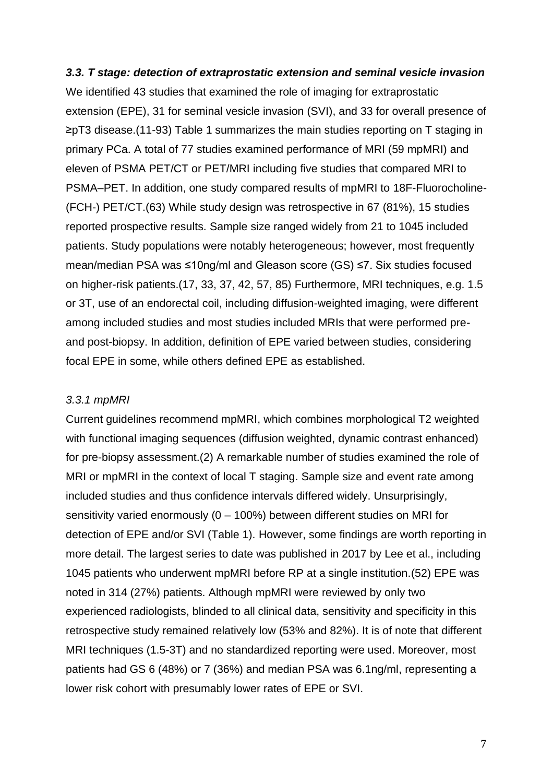#### *3.3. T stage: detection of extraprostatic extension and seminal vesicle invasion*

We identified 43 studies that examined the role of imaging for extraprostatic extension (EPE), 31 for seminal vesicle invasion (SVI), and 33 for overall presence of ≥pT3 disease.(11-93) Table 1 summarizes the main studies reporting on T staging in primary PCa. A total of 77 studies examined performance of MRI (59 mpMRI) and eleven of PSMA PET/CT or PET/MRI including five studies that compared MRI to PSMA–PET. In addition, one study compared results of mpMRI to 18F-Fluorocholine- (FCH-) PET/CT.(63) While study design was retrospective in 67 (81%), 15 studies reported prospective results. Sample size ranged widely from 21 to 1045 included patients. Study populations were notably heterogeneous; however, most frequently mean/median PSA was ≤10ng/ml and Gleason score (GS) ≤7. Six studies focused on higher-risk patients.(17, 33, 37, 42, 57, 85) Furthermore, MRI techniques, e.g. 1.5 or 3T, use of an endorectal coil, including diffusion-weighted imaging, were different among included studies and most studies included MRIs that were performed preand post-biopsy. In addition, definition of EPE varied between studies, considering focal EPE in some, while others defined EPE as established.

#### *3.3.1 mpMRI*

Current guidelines recommend mpMRI, which combines morphological T2 weighted with functional imaging sequences (diffusion weighted, dynamic contrast enhanced) for pre-biopsy assessment.(2) A remarkable number of studies examined the role of MRI or mpMRI in the context of local T staging. Sample size and event rate among included studies and thus confidence intervals differed widely. Unsurprisingly, sensitivity varied enormously (0 – 100%) between different studies on MRI for detection of EPE and/or SVI (Table 1). However, some findings are worth reporting in more detail. The largest series to date was published in 2017 by Lee et al., including 1045 patients who underwent mpMRI before RP at a single institution.(52) EPE was noted in 314 (27%) patients. Although mpMRI were reviewed by only two experienced radiologists, blinded to all clinical data, sensitivity and specificity in this retrospective study remained relatively low (53% and 82%). It is of note that different MRI techniques (1.5-3T) and no standardized reporting were used. Moreover, most patients had GS 6 (48%) or 7 (36%) and median PSA was 6.1ng/ml, representing a lower risk cohort with presumably lower rates of EPE or SVI.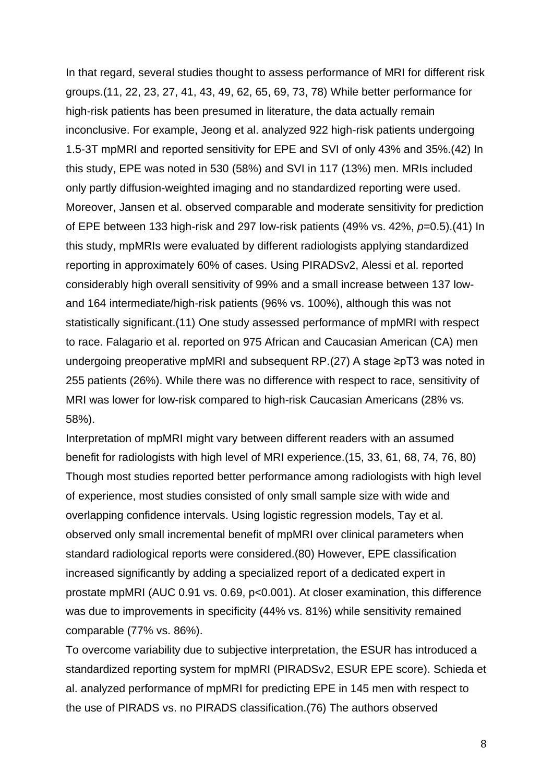In that regard, several studies thought to assess performance of MRI for different risk groups.(11, 22, 23, 27, 41, 43, 49, 62, 65, 69, 73, 78) While better performance for high-risk patients has been presumed in literature, the data actually remain inconclusive. For example, Jeong et al. analyzed 922 high-risk patients undergoing 1.5-3T mpMRI and reported sensitivity for EPE and SVI of only 43% and 35%.(42) In this study, EPE was noted in 530 (58%) and SVI in 117 (13%) men. MRIs included only partly diffusion-weighted imaging and no standardized reporting were used. Moreover, Jansen et al. observed comparable and moderate sensitivity for prediction of EPE between 133 high-risk and 297 low-risk patients (49% vs. 42%, *p*=0.5).(41) In this study, mpMRIs were evaluated by different radiologists applying standardized reporting in approximately 60% of cases. Using PIRADSv2, Alessi et al. reported considerably high overall sensitivity of 99% and a small increase between 137 lowand 164 intermediate/high-risk patients (96% vs. 100%), although this was not statistically significant.(11) One study assessed performance of mpMRI with respect to race. Falagario et al. reported on 975 African and Caucasian American (CA) men undergoing preoperative mpMRI and subsequent RP.(27) A stage ≥pT3 was noted in 255 patients (26%). While there was no difference with respect to race, sensitivity of MRI was lower for low-risk compared to high-risk Caucasian Americans (28% vs. 58%).

Interpretation of mpMRI might vary between different readers with an assumed benefit for radiologists with high level of MRI experience.(15, 33, 61, 68, 74, 76, 80) Though most studies reported better performance among radiologists with high level of experience, most studies consisted of only small sample size with wide and overlapping confidence intervals. Using logistic regression models, Tay et al. observed only small incremental benefit of mpMRI over clinical parameters when standard radiological reports were considered.(80) However, EPE classification increased significantly by adding a specialized report of a dedicated expert in prostate mpMRI (AUC 0.91 vs. 0.69, p<0.001). At closer examination, this difference was due to improvements in specificity (44% vs. 81%) while sensitivity remained comparable (77% vs. 86%).

To overcome variability due to subjective interpretation, the ESUR has introduced a standardized reporting system for mpMRI (PIRADSv2, ESUR EPE score). Schieda et al. analyzed performance of mpMRI for predicting EPE in 145 men with respect to the use of PIRADS vs. no PIRADS classification.(76) The authors observed

8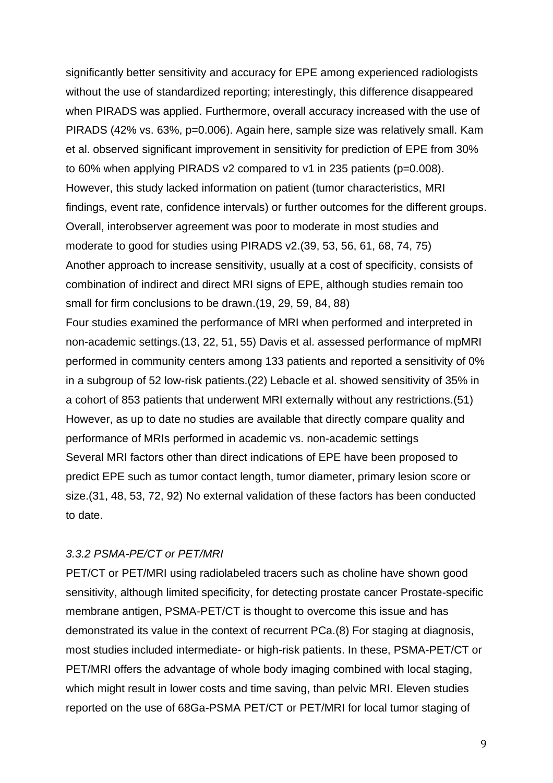significantly better sensitivity and accuracy for EPE among experienced radiologists without the use of standardized reporting; interestingly, this difference disappeared when PIRADS was applied. Furthermore, overall accuracy increased with the use of PIRADS (42% vs. 63%, p=0.006). Again here, sample size was relatively small. Kam et al. observed significant improvement in sensitivity for prediction of EPE from 30% to 60% when applying PIRADS v2 compared to v1 in 235 patients (p=0.008). However, this study lacked information on patient (tumor characteristics, MRI findings, event rate, confidence intervals) or further outcomes for the different groups. Overall, interobserver agreement was poor to moderate in most studies and moderate to good for studies using PIRADS v2.(39, 53, 56, 61, 68, 74, 75) Another approach to increase sensitivity, usually at a cost of specificity, consists of combination of indirect and direct MRI signs of EPE, although studies remain too small for firm conclusions to be drawn.(19, 29, 59, 84, 88)

Four studies examined the performance of MRI when performed and interpreted in non-academic settings.(13, 22, 51, 55) Davis et al. assessed performance of mpMRI performed in community centers among 133 patients and reported a sensitivity of 0% in a subgroup of 52 low-risk patients.(22) Lebacle et al. showed sensitivity of 35% in a cohort of 853 patients that underwent MRI externally without any restrictions.(51) However, as up to date no studies are available that directly compare quality and performance of MRIs performed in academic vs. non-academic settings Several MRI factors other than direct indications of EPE have been proposed to predict EPE such as tumor contact length, tumor diameter, primary lesion score or size.(31, 48, 53, 72, 92) No external validation of these factors has been conducted to date.

#### *3.3.2 PSMA-PE/CT or PET/MRI*

PET/CT or PET/MRI using radiolabeled tracers such as choline have shown good sensitivity, although limited specificity, for detecting prostate cancer Prostate-specific membrane antigen, PSMA-PET/CT is thought to overcome this issue and has demonstrated its value in the context of recurrent PCa.(8) For staging at diagnosis, most studies included intermediate- or high-risk patients. In these, PSMA-PET/CT or PET/MRI offers the advantage of whole body imaging combined with local staging, which might result in lower costs and time saving, than pelvic MRI. Eleven studies reported on the use of 68Ga-PSMA PET/CT or PET/MRI for local tumor staging of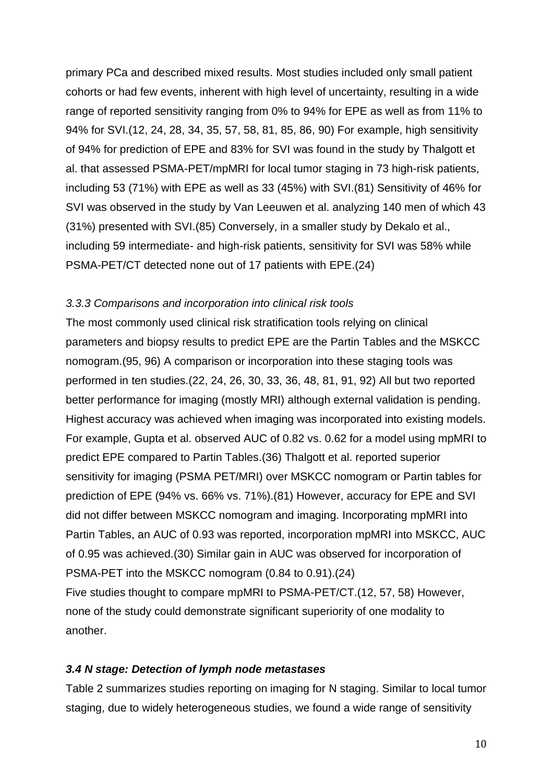primary PCa and described mixed results. Most studies included only small patient cohorts or had few events, inherent with high level of uncertainty, resulting in a wide range of reported sensitivity ranging from 0% to 94% for EPE as well as from 11% to 94% for SVI.(12, 24, 28, 34, 35, 57, 58, 81, 85, 86, 90) For example, high sensitivity of 94% for prediction of EPE and 83% for SVI was found in the study by Thalgott et al. that assessed PSMA-PET/mpMRI for local tumor staging in 73 high-risk patients, including 53 (71%) with EPE as well as 33 (45%) with SVI.(81) Sensitivity of 46% for SVI was observed in the study by Van Leeuwen et al. analyzing 140 men of which 43 (31%) presented with SVI.(85) Conversely, in a smaller study by Dekalo et al., including 59 intermediate- and high-risk patients, sensitivity for SVI was 58% while PSMA-PET/CT detected none out of 17 patients with EPE.(24)

#### *3.3.3 Comparisons and incorporation into clinical risk tools*

The most commonly used clinical risk stratification tools relying on clinical parameters and biopsy results to predict EPE are the Partin Tables and the MSKCC nomogram.(95, 96) A comparison or incorporation into these staging tools was performed in ten studies.(22, 24, 26, 30, 33, 36, 48, 81, 91, 92) All but two reported better performance for imaging (mostly MRI) although external validation is pending. Highest accuracy was achieved when imaging was incorporated into existing models. For example, Gupta et al. observed AUC of 0.82 vs. 0.62 for a model using mpMRI to predict EPE compared to Partin Tables.(36) Thalgott et al. reported superior sensitivity for imaging (PSMA PET/MRI) over MSKCC nomogram or Partin tables for prediction of EPE (94% vs. 66% vs. 71%).(81) However, accuracy for EPE and SVI did not differ between MSKCC nomogram and imaging. Incorporating mpMRI into Partin Tables, an AUC of 0.93 was reported, incorporation mpMRI into MSKCC, AUC of 0.95 was achieved.(30) Similar gain in AUC was observed for incorporation of PSMA-PET into the MSKCC nomogram (0.84 to 0.91).(24) Five studies thought to compare mpMRI to PSMA-PET/CT.(12, 57, 58) However, none of the study could demonstrate significant superiority of one modality to another.

#### *3.4 N stage: Detection of lymph node metastases*

Table 2 summarizes studies reporting on imaging for N staging. Similar to local tumor staging, due to widely heterogeneous studies, we found a wide range of sensitivity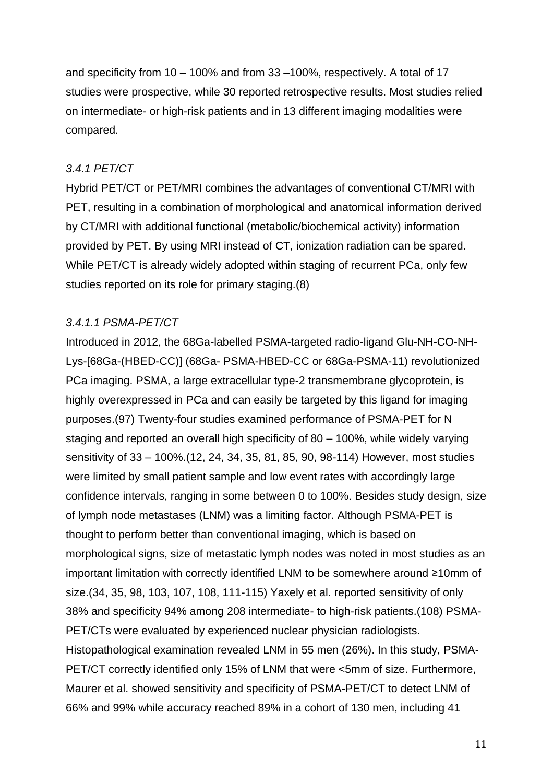and specificity from 10 – 100% and from 33 –100%, respectively. A total of 17 studies were prospective, while 30 reported retrospective results. Most studies relied on intermediate- or high-risk patients and in 13 different imaging modalities were compared.

### *3.4.1 PET/CT*

Hybrid PET/CT or PET/MRI combines the advantages of conventional CT/MRI with PET, resulting in a combination of morphological and anatomical information derived by CT/MRI with additional functional (metabolic/biochemical activity) information provided by PET. By using MRI instead of CT, ionization radiation can be spared. While PET/CT is already widely adopted within staging of recurrent PCa, only few studies reported on its role for primary staging.(8)

#### *3.4.1.1 PSMA-PET/CT*

Introduced in 2012, the 68Ga-labelled PSMA-targeted radio-ligand Glu-NH-CO-NH-Lys-[68Ga-(HBED-CC)] (68Ga- PSMA-HBED-CC or 68Ga-PSMA-11) revolutionized PCa imaging. PSMA, a large extracellular type-2 transmembrane glycoprotein, is highly overexpressed in PCa and can easily be targeted by this ligand for imaging purposes.(97) Twenty-four studies examined performance of PSMA-PET for N staging and reported an overall high specificity of 80 – 100%, while widely varying sensitivity of 33 – 100%.(12, 24, 34, 35, 81, 85, 90, 98-114) However, most studies were limited by small patient sample and low event rates with accordingly large confidence intervals, ranging in some between 0 to 100%. Besides study design, size of lymph node metastases (LNM) was a limiting factor. Although PSMA-PET is thought to perform better than conventional imaging, which is based on morphological signs, size of metastatic lymph nodes was noted in most studies as an important limitation with correctly identified LNM to be somewhere around ≥10mm of size.(34, 35, 98, 103, 107, 108, 111-115) Yaxely et al. reported sensitivity of only 38% and specificity 94% among 208 intermediate- to high-risk patients.(108) PSMA-PET/CTs were evaluated by experienced nuclear physician radiologists. Histopathological examination revealed LNM in 55 men (26%). In this study, PSMA-PET/CT correctly identified only 15% of LNM that were <5mm of size. Furthermore, Maurer et al. showed sensitivity and specificity of PSMA-PET/CT to detect LNM of 66% and 99% while accuracy reached 89% in a cohort of 130 men, including 41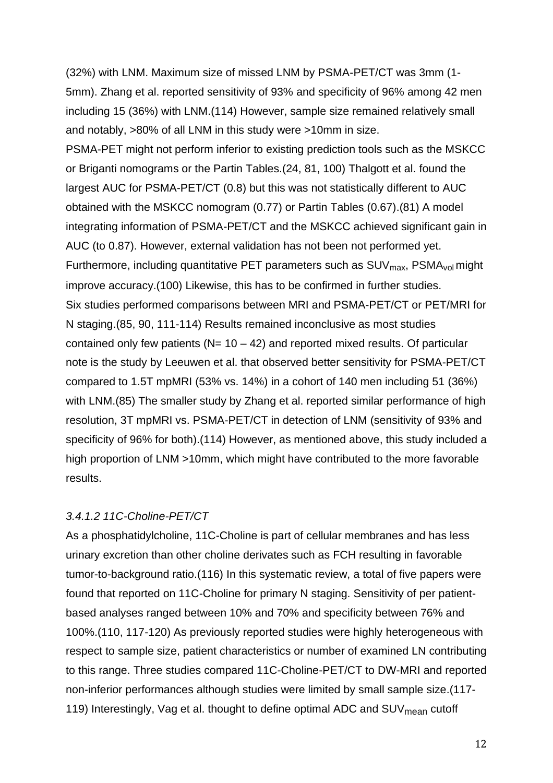(32%) with LNM. Maximum size of missed LNM by PSMA-PET/CT was 3mm (1- 5mm). Zhang et al. reported sensitivity of 93% and specificity of 96% among 42 men including 15 (36%) with LNM.(114) However, sample size remained relatively small and notably, >80% of all LNM in this study were >10mm in size.

PSMA-PET might not perform inferior to existing prediction tools such as the MSKCC or Briganti nomograms or the Partin Tables.(24, 81, 100) Thalgott et al. found the largest AUC for PSMA-PET/CT (0.8) but this was not statistically different to AUC obtained with the MSKCC nomogram (0.77) or Partin Tables (0.67).(81) A model integrating information of PSMA-PET/CT and the MSKCC achieved significant gain in AUC (to 0.87). However, external validation has not been not performed yet. Furthermore, including quantitative PET parameters such as  $SUV<sub>max</sub>$ , PSMA<sub>vol</sub> might improve accuracy.(100) Likewise, this has to be confirmed in further studies. Six studies performed comparisons between MRI and PSMA-PET/CT or PET/MRI for N staging.(85, 90, 111-114) Results remained inconclusive as most studies contained only few patients ( $N = 10 - 42$ ) and reported mixed results. Of particular note is the study by Leeuwen et al. that observed better sensitivity for PSMA-PET/CT compared to 1.5T mpMRI (53% vs. 14%) in a cohort of 140 men including 51 (36%) with LNM.(85) The smaller study by Zhang et al. reported similar performance of high resolution, 3T mpMRI vs. PSMA-PET/CT in detection of LNM (sensitivity of 93% and specificity of 96% for both).(114) However, as mentioned above, this study included a high proportion of LNM >10mm, which might have contributed to the more favorable results.

### *3.4.1.2 11C-Choline-PET/CT*

As a phosphatidylcholine, 11C-Choline is part of cellular membranes and has less urinary excretion than other choline derivates such as FCH resulting in favorable tumor-to-background ratio.(116) In this systematic review, a total of five papers were found that reported on 11C-Choline for primary N staging. Sensitivity of per patientbased analyses ranged between 10% and 70% and specificity between 76% and 100%.(110, 117-120) As previously reported studies were highly heterogeneous with respect to sample size, patient characteristics or number of examined LN contributing to this range. Three studies compared 11C-Choline-PET/CT to DW-MRI and reported non-inferior performances although studies were limited by small sample size.(117- 119) Interestingly, Vag et al. thought to define optimal ADC and  $SUV_{mean}$  cutoff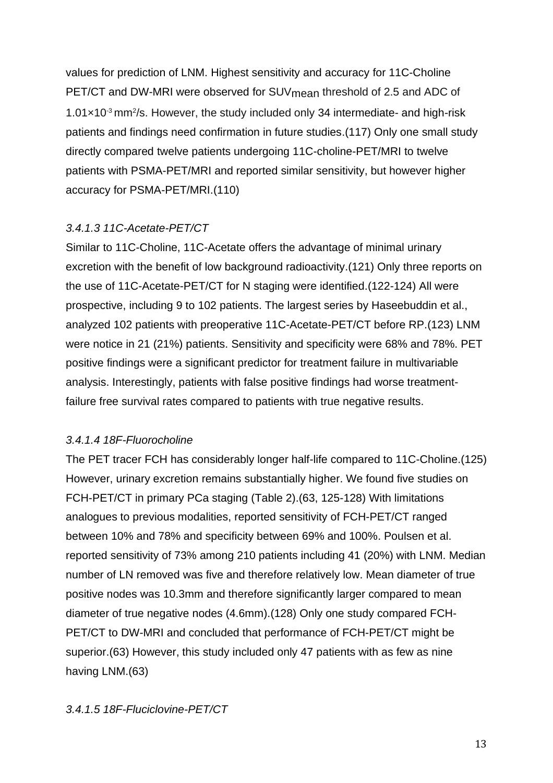values for prediction of LNM. Highest sensitivity and accuracy for 11C-Choline PET/CT and DW-MRI were observed for SUV<sub>mean</sub> threshold of 2.5 and ADC of  $1.01\times10^{3}$  mm<sup>2</sup>/s. However, the study included only 34 intermediate- and high-risk patients and findings need confirmation in future studies.(117) Only one small study directly compared twelve patients undergoing 11C-choline-PET/MRI to twelve patients with PSMA-PET/MRI and reported similar sensitivity, but however higher accuracy for PSMA-PET/MRI.(110)

### *3.4.1.3 11C-Acetate-PET/CT*

Similar to 11C-Choline, 11C-Acetate offers the advantage of minimal urinary excretion with the benefit of low background radioactivity.(121) Only three reports on the use of 11C-Acetate-PET/CT for N staging were identified.(122-124) All were prospective, including 9 to 102 patients. The largest series by Haseebuddin et al., analyzed 102 patients with preoperative 11C-Acetate-PET/CT before RP.(123) LNM were notice in 21 (21%) patients. Sensitivity and specificity were 68% and 78%. PET positive findings were a significant predictor for treatment failure in multivariable analysis. Interestingly, patients with false positive findings had worse treatmentfailure free survival rates compared to patients with true negative results.

#### *3.4.1.4 18F-Fluorocholine*

The PET tracer FCH has considerably longer half-life compared to 11C-Choline.(125) However, urinary excretion remains substantially higher. We found five studies on FCH-PET/CT in primary PCa staging (Table 2).(63, 125-128) With limitations analogues to previous modalities, reported sensitivity of FCH-PET/CT ranged between 10% and 78% and specificity between 69% and 100%. Poulsen et al. reported sensitivity of 73% among 210 patients including 41 (20%) with LNM. Median number of LN removed was five and therefore relatively low. Mean diameter of true positive nodes was 10.3mm and therefore significantly larger compared to mean diameter of true negative nodes (4.6mm).(128) Only one study compared FCH-PET/CT to DW-MRI and concluded that performance of FCH-PET/CT might be superior.(63) However, this study included only 47 patients with as few as nine having LNM.(63)

### *3.4.1.5 18F-Fluciclovine-PET/CT*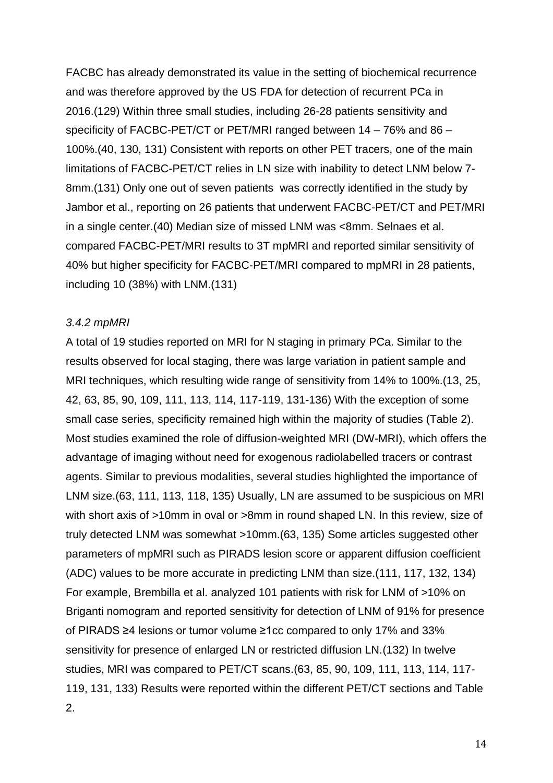FACBC has already demonstrated its value in the setting of biochemical recurrence and was therefore approved by the US FDA for detection of recurrent PCa in 2016.(129) Within three small studies, including 26-28 patients sensitivity and specificity of FACBC-PET/CT or PET/MRI ranged between 14 – 76% and 86 – 100%.(40, 130, 131) Consistent with reports on other PET tracers, one of the main limitations of FACBC-PET/CT relies in LN size with inability to detect LNM below 7- 8mm.(131) Only one out of seven patients was correctly identified in the study by Jambor et al., reporting on 26 patients that underwent FACBC-PET/CT and PET/MRI in a single center.(40) Median size of missed LNM was <8mm. Selnaes et al. compared FACBC-PET/MRI results to 3T mpMRI and reported similar sensitivity of 40% but higher specificity for FACBC-PET/MRI compared to mpMRI in 28 patients, including 10 (38%) with LNM.(131)

#### *3.4.2 mpMRI*

A total of 19 studies reported on MRI for N staging in primary PCa. Similar to the results observed for local staging, there was large variation in patient sample and MRI techniques, which resulting wide range of sensitivity from 14% to 100%.(13, 25, 42, 63, 85, 90, 109, 111, 113, 114, 117-119, 131-136) With the exception of some small case series, specificity remained high within the majority of studies (Table 2). Most studies examined the role of diffusion-weighted MRI (DW-MRI), which offers the advantage of imaging without need for exogenous radiolabelled tracers or contrast agents. Similar to previous modalities, several studies highlighted the importance of LNM size.(63, 111, 113, 118, 135) Usually, LN are assumed to be suspicious on MRI with short axis of >10mm in oval or >8mm in round shaped LN. In this review, size of truly detected LNM was somewhat >10mm.(63, 135) Some articles suggested other parameters of mpMRI such as PIRADS lesion score or apparent diffusion coefficient (ADC) values to be more accurate in predicting LNM than size.(111, 117, 132, 134) For example, Brembilla et al. analyzed 101 patients with risk for LNM of >10% on Briganti nomogram and reported sensitivity for detection of LNM of 91% for presence of PIRADS ≥4 lesions or tumor volume ≥1cc compared to only 17% and 33% sensitivity for presence of enlarged LN or restricted diffusion LN.(132) In twelve studies, MRI was compared to PET/CT scans.(63, 85, 90, 109, 111, 113, 114, 117- 119, 131, 133) Results were reported within the different PET/CT sections and Table 2.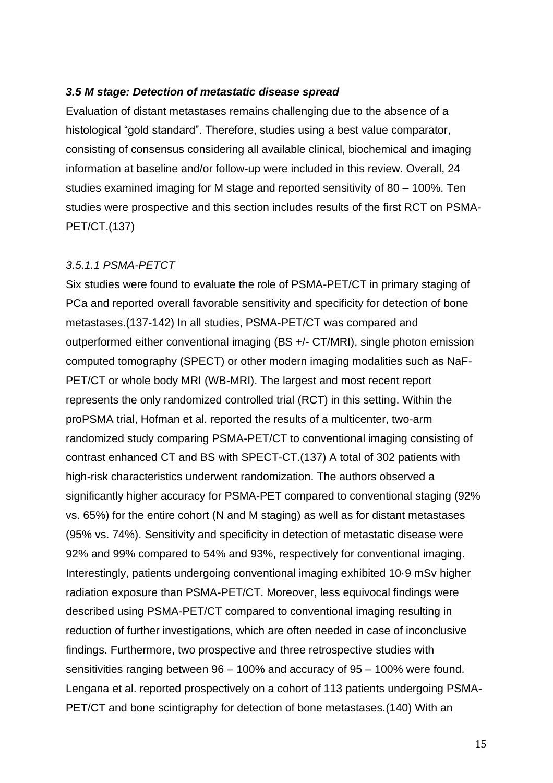#### *3.5 M stage: Detection of metastatic disease spread*

Evaluation of distant metastases remains challenging due to the absence of a histological "gold standard". Therefore, studies using a best value comparator, consisting of consensus considering all available clinical, biochemical and imaging information at baseline and/or follow-up were included in this review. Overall, 24 studies examined imaging for M stage and reported sensitivity of 80 – 100%. Ten studies were prospective and this section includes results of the first RCT on PSMA-PET/CT.(137)

#### *3.5.1.1 PSMA-PETCT*

Six studies were found to evaluate the role of PSMA-PET/CT in primary staging of PCa and reported overall favorable sensitivity and specificity for detection of bone metastases.(137-142) In all studies, PSMA-PET/CT was compared and outperformed either conventional imaging (BS +/- CT/MRI), single photon emission computed tomography (SPECT) or other modern imaging modalities such as NaF-PET/CT or whole body MRI (WB-MRI). The largest and most recent report represents the only randomized controlled trial (RCT) in this setting. Within the proPSMA trial, Hofman et al. reported the results of a multicenter, two-arm randomized study comparing PSMA-PET/CT to conventional imaging consisting of contrast enhanced CT and BS with SPECT-CT.(137) A total of 302 patients with high-risk characteristics underwent randomization. The authors observed a significantly higher accuracy for PSMA-PET compared to conventional staging (92% vs. 65%) for the entire cohort (N and M staging) as well as for distant metastases (95% vs. 74%). Sensitivity and specificity in detection of metastatic disease were 92% and 99% compared to 54% and 93%, respectively for conventional imaging. Interestingly, patients undergoing conventional imaging exhibited 10·9 mSv higher radiation exposure than PSMA-PET/CT. Moreover, less equivocal findings were described using PSMA-PET/CT compared to conventional imaging resulting in reduction of further investigations, which are often needed in case of inconclusive findings. Furthermore, two prospective and three retrospective studies with sensitivities ranging between 96 – 100% and accuracy of 95 – 100% were found. Lengana et al. reported prospectively on a cohort of 113 patients undergoing PSMA-PET/CT and bone scintigraphy for detection of bone metastases.(140) With an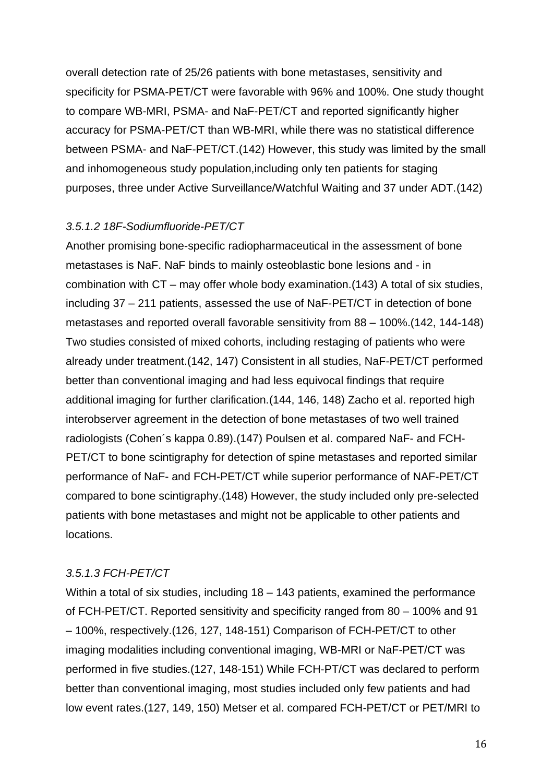overall detection rate of 25/26 patients with bone metastases, sensitivity and specificity for PSMA-PET/CT were favorable with 96% and 100%. One study thought to compare WB-MRI, PSMA- and NaF-PET/CT and reported significantly higher accuracy for PSMA-PET/CT than WB-MRI, while there was no statistical difference between PSMA- and NaF-PET/CT.(142) However, this study was limited by the small and inhomogeneous study population,including only ten patients for staging purposes, three under Active Surveillance/Watchful Waiting and 37 under ADT.(142)

#### *3.5.1.2 18F-Sodiumfluoride-PET/CT*

Another promising bone-specific radiopharmaceutical in the assessment of bone metastases is NaF. NaF binds to mainly osteoblastic bone lesions and - in combination with CT – may offer whole body examination.(143) A total of six studies, including 37 – 211 patients, assessed the use of NaF-PET/CT in detection of bone metastases and reported overall favorable sensitivity from 88 – 100%.(142, 144-148) Two studies consisted of mixed cohorts, including restaging of patients who were already under treatment.(142, 147) Consistent in all studies, NaF-PET/CT performed better than conventional imaging and had less equivocal findings that require additional imaging for further clarification.(144, 146, 148) Zacho et al. reported high interobserver agreement in the detection of bone metastases of two well trained radiologists (Cohen´s kappa 0.89).(147) Poulsen et al. compared NaF- and FCH-PET/CT to bone scintigraphy for detection of spine metastases and reported similar performance of NaF- and FCH-PET/CT while superior performance of NAF-PET/CT compared to bone scintigraphy.(148) However, the study included only pre-selected patients with bone metastases and might not be applicable to other patients and locations.

### *3.5.1.3 FCH-PET/CT*

Within a total of six studies, including 18 – 143 patients, examined the performance of FCH-PET/CT. Reported sensitivity and specificity ranged from 80 – 100% and 91 – 100%, respectively.(126, 127, 148-151) Comparison of FCH-PET/CT to other imaging modalities including conventional imaging, WB-MRI or NaF-PET/CT was performed in five studies.(127, 148-151) While FCH-PT/CT was declared to perform better than conventional imaging, most studies included only few patients and had low event rates.(127, 149, 150) Metser et al. compared FCH-PET/CT or PET/MRI to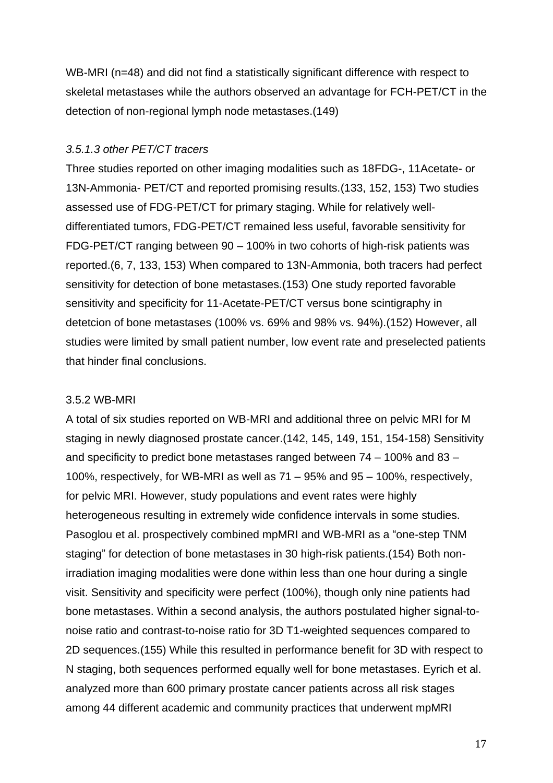WB-MRI (n=48) and did not find a statistically significant difference with respect to skeletal metastases while the authors observed an advantage for FCH-PET/CT in the detection of non-regional lymph node metastases.(149)

### *3.5.1.3 other PET/CT tracers*

Three studies reported on other imaging modalities such as 18FDG-, 11Acetate- or 13N-Ammonia- PET/CT and reported promising results.(133, 152, 153) Two studies assessed use of FDG-PET/CT for primary staging. While for relatively welldifferentiated tumors, FDG-PET/CT remained less useful, favorable sensitivity for FDG-PET/CT ranging between 90 – 100% in two cohorts of high-risk patients was reported.(6, 7, 133, 153) When compared to 13N-Ammonia, both tracers had perfect sensitivity for detection of bone metastases.(153) One study reported favorable sensitivity and specificity for 11-Acetate-PET/CT versus bone scintigraphy in detetcion of bone metastases (100% vs. 69% and 98% vs. 94%).(152) However, all studies were limited by small patient number, low event rate and preselected patients that hinder final conclusions.

#### 3.5.2 WB-MRI

A total of six studies reported on WB-MRI and additional three on pelvic MRI for M staging in newly diagnosed prostate cancer.(142, 145, 149, 151, 154-158) Sensitivity and specificity to predict bone metastases ranged between 74 – 100% and 83 – 100%, respectively, for WB-MRI as well as 71 – 95% and 95 – 100%, respectively, for pelvic MRI. However, study populations and event rates were highly heterogeneous resulting in extremely wide confidence intervals in some studies. Pasoglou et al. prospectively combined mpMRI and WB-MRI as a "one-step TNM staging" for detection of bone metastases in 30 high-risk patients.(154) Both nonirradiation imaging modalities were done within less than one hour during a single visit. Sensitivity and specificity were perfect (100%), though only nine patients had bone metastases. Within a second analysis, the authors postulated higher signal-tonoise ratio and contrast-to-noise ratio for 3D T1-weighted sequences compared to 2D sequences.(155) While this resulted in performance benefit for 3D with respect to N staging, both sequences performed equally well for bone metastases. Eyrich et al. analyzed more than 600 primary prostate cancer patients across all risk stages among 44 different academic and community practices that underwent mpMRI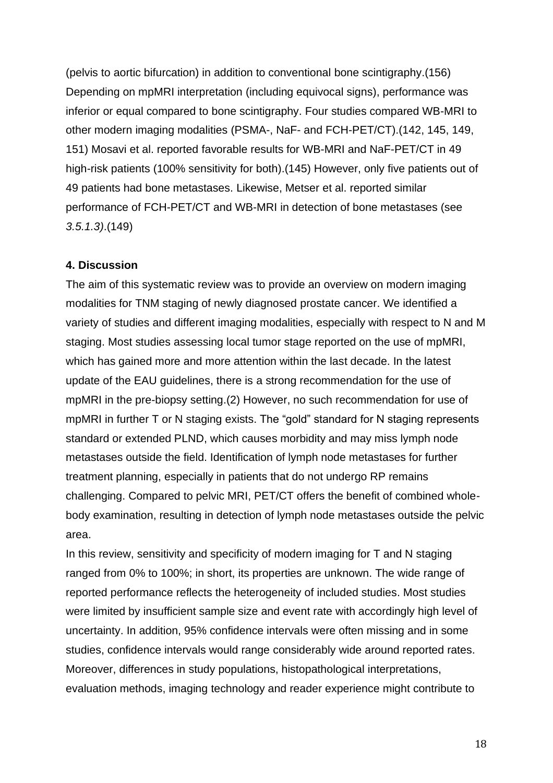(pelvis to aortic bifurcation) in addition to conventional bone scintigraphy.(156) Depending on mpMRI interpretation (including equivocal signs), performance was inferior or equal compared to bone scintigraphy. Four studies compared WB-MRI to other modern imaging modalities (PSMA-, NaF- and FCH-PET/CT).(142, 145, 149, 151) Mosavi et al. reported favorable results for WB-MRI and NaF-PET/CT in 49 high-risk patients (100% sensitivity for both).(145) However, only five patients out of 49 patients had bone metastases. Likewise, Metser et al. reported similar performance of FCH-PET/CT and WB-MRI in detection of bone metastases (see *3.5.1.3)*.(149)

#### **4. Discussion**

The aim of this systematic review was to provide an overview on modern imaging modalities for TNM staging of newly diagnosed prostate cancer. We identified a variety of studies and different imaging modalities, especially with respect to N and M staging. Most studies assessing local tumor stage reported on the use of mpMRI, which has gained more and more attention within the last decade. In the latest update of the EAU guidelines, there is a strong recommendation for the use of mpMRI in the pre-biopsy setting.(2) However, no such recommendation for use of mpMRI in further T or N staging exists. The "gold" standard for N staging represents standard or extended PLND, which causes morbidity and may miss lymph node metastases outside the field. Identification of lymph node metastases for further treatment planning, especially in patients that do not undergo RP remains challenging. Compared to pelvic MRI, PET/CT offers the benefit of combined wholebody examination, resulting in detection of lymph node metastases outside the pelvic area.

In this review, sensitivity and specificity of modern imaging for T and N staging ranged from 0% to 100%; in short, its properties are unknown. The wide range of reported performance reflects the heterogeneity of included studies. Most studies were limited by insufficient sample size and event rate with accordingly high level of uncertainty. In addition, 95% confidence intervals were often missing and in some studies, confidence intervals would range considerably wide around reported rates. Moreover, differences in study populations, histopathological interpretations, evaluation methods, imaging technology and reader experience might contribute to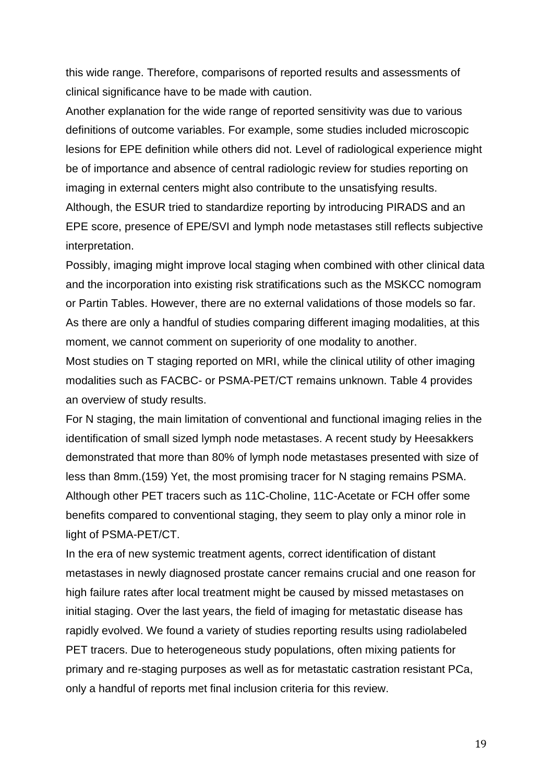this wide range. Therefore, comparisons of reported results and assessments of clinical significance have to be made with caution.

Another explanation for the wide range of reported sensitivity was due to various definitions of outcome variables. For example, some studies included microscopic lesions for EPE definition while others did not. Level of radiological experience might be of importance and absence of central radiologic review for studies reporting on imaging in external centers might also contribute to the unsatisfying results. Although, the ESUR tried to standardize reporting by introducing PIRADS and an EPE score, presence of EPE/SVI and lymph node metastases still reflects subjective interpretation.

Possibly, imaging might improve local staging when combined with other clinical data and the incorporation into existing risk stratifications such as the MSKCC nomogram or Partin Tables. However, there are no external validations of those models so far. As there are only a handful of studies comparing different imaging modalities, at this moment, we cannot comment on superiority of one modality to another.

Most studies on T staging reported on MRI, while the clinical utility of other imaging modalities such as FACBC- or PSMA-PET/CT remains unknown. Table 4 provides an overview of study results.

For N staging, the main limitation of conventional and functional imaging relies in the identification of small sized lymph node metastases. A recent study by Heesakkers demonstrated that more than 80% of lymph node metastases presented with size of less than 8mm.(159) Yet, the most promising tracer for N staging remains PSMA. Although other PET tracers such as 11C-Choline, 11C-Acetate or FCH offer some benefits compared to conventional staging, they seem to play only a minor role in light of PSMA-PET/CT.

In the era of new systemic treatment agents, correct identification of distant metastases in newly diagnosed prostate cancer remains crucial and one reason for high failure rates after local treatment might be caused by missed metastases on initial staging. Over the last years, the field of imaging for metastatic disease has rapidly evolved. We found a variety of studies reporting results using radiolabeled PET tracers. Due to heterogeneous study populations, often mixing patients for primary and re-staging purposes as well as for metastatic castration resistant PCa, only a handful of reports met final inclusion criteria for this review.

19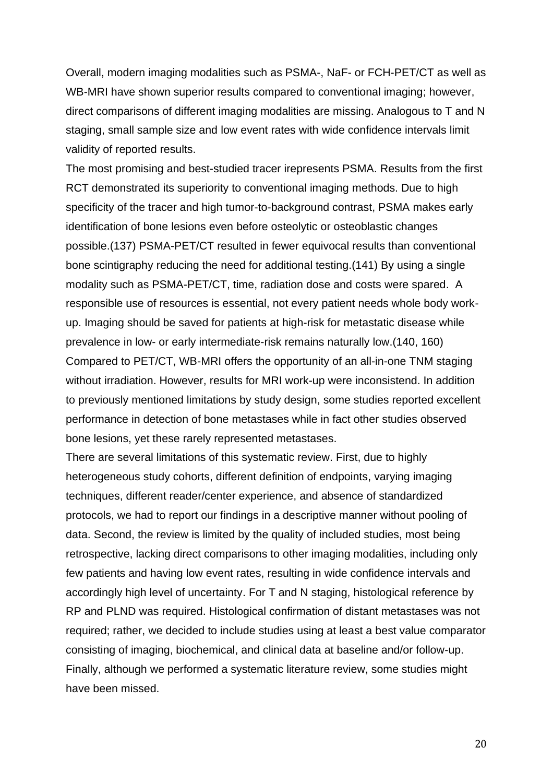Overall, modern imaging modalities such as PSMA-, NaF- or FCH-PET/CT as well as WB-MRI have shown superior results compared to conventional imaging; however, direct comparisons of different imaging modalities are missing. Analogous to T and N staging, small sample size and low event rates with wide confidence intervals limit validity of reported results.

The most promising and best-studied tracer irepresents PSMA. Results from the first RCT demonstrated its superiority to conventional imaging methods. Due to high specificity of the tracer and high tumor-to-background contrast, PSMA makes early identification of bone lesions even before osteolytic or osteoblastic changes possible.(137) PSMA-PET/CT resulted in fewer equivocal results than conventional bone scintigraphy reducing the need for additional testing.(141) By using a single modality such as PSMA-PET/CT, time, radiation dose and costs were spared. A responsible use of resources is essential, not every patient needs whole body workup. Imaging should be saved for patients at high-risk for metastatic disease while prevalence in low- or early intermediate-risk remains naturally low.(140, 160) Compared to PET/CT, WB-MRI offers the opportunity of an all-in-one TNM staging without irradiation. However, results for MRI work-up were inconsistend. In addition to previously mentioned limitations by study design, some studies reported excellent performance in detection of bone metastases while in fact other studies observed bone lesions, yet these rarely represented metastases.

There are several limitations of this systematic review. First, due to highly heterogeneous study cohorts, different definition of endpoints, varying imaging techniques, different reader/center experience, and absence of standardized protocols, we had to report our findings in a descriptive manner without pooling of data. Second, the review is limited by the quality of included studies, most being retrospective, lacking direct comparisons to other imaging modalities, including only few patients and having low event rates, resulting in wide confidence intervals and accordingly high level of uncertainty. For T and N staging, histological reference by RP and PLND was required. Histological confirmation of distant metastases was not required; rather, we decided to include studies using at least a best value comparator consisting of imaging, biochemical, and clinical data at baseline and/or follow-up. Finally, although we performed a systematic literature review, some studies might have been missed.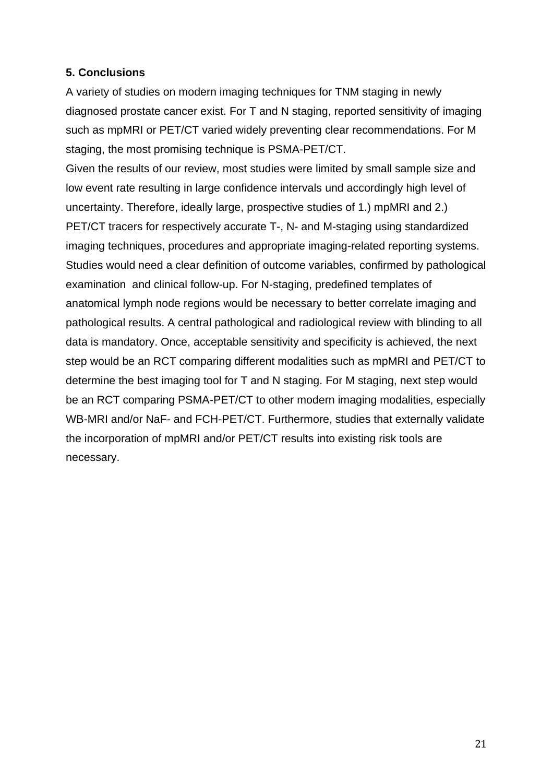## **5. Conclusions**

A variety of studies on modern imaging techniques for TNM staging in newly diagnosed prostate cancer exist. For T and N staging, reported sensitivity of imaging such as mpMRI or PET/CT varied widely preventing clear recommendations. For M staging, the most promising technique is PSMA-PET/CT.

Given the results of our review, most studies were limited by small sample size and low event rate resulting in large confidence intervals und accordingly high level of uncertainty. Therefore, ideally large, prospective studies of 1.) mpMRI and 2.) PET/CT tracers for respectively accurate T-, N- and M-staging using standardized imaging techniques, procedures and appropriate imaging-related reporting systems. Studies would need a clear definition of outcome variables, confirmed by pathological examination and clinical follow-up. For N-staging, predefined templates of anatomical lymph node regions would be necessary to better correlate imaging and pathological results. A central pathological and radiological review with blinding to all data is mandatory. Once, acceptable sensitivity and specificity is achieved, the next step would be an RCT comparing different modalities such as mpMRI and PET/CT to determine the best imaging tool for T and N staging. For M staging, next step would be an RCT comparing PSMA-PET/CT to other modern imaging modalities, especially WB-MRI and/or NaF- and FCH-PET/CT. Furthermore, studies that externally validate the incorporation of mpMRI and/or PET/CT results into existing risk tools are necessary.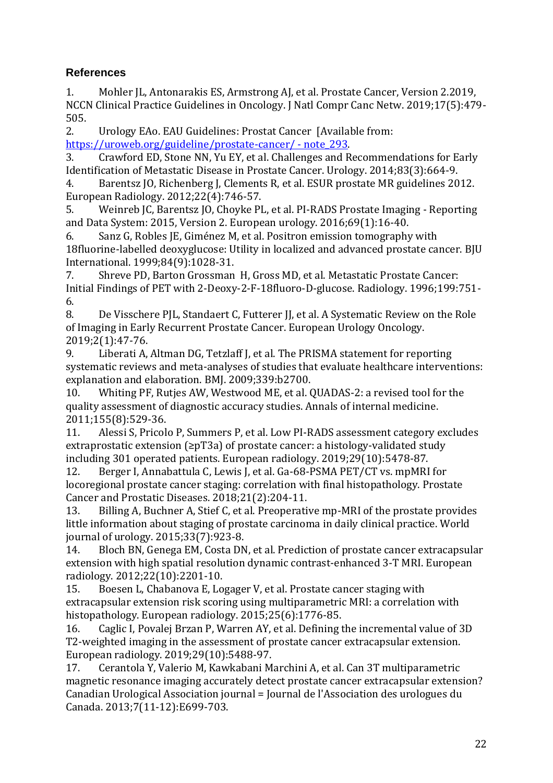# **References**

1. Mohler JL, Antonarakis ES, Armstrong AJ, et al. Prostate Cancer, Version 2.2019, NCCN Clinical Practice Guidelines in Oncology. J Natl Compr Canc Netw. 2019;17(5):479- 505.

2. Urology EAo. EAU Guidelines: Prostat Cancer [Available from: [https://uroweb.org/guideline/prostate-cancer/ -](https://uroweb.org/guideline/prostate-cancer/#note_293) note\_293.

3. Crawford ED, Stone NN, Yu EY, et al. Challenges and Recommendations for Early Identification of Metastatic Disease in Prostate Cancer. Urology. 2014;83(3):664-9.

4. Barentsz JO, Richenberg J, Clements R, et al. ESUR prostate MR guidelines 2012. European Radiology. 2012;22(4):746-57.

5. Weinreb JC, Barentsz JO, Choyke PL, et al. PI-RADS Prostate Imaging - Reporting and Data System: 2015, Version 2. European urology. 2016;69(1):16-40.

6. Sanz G, Robles JE, Giménez M, et al. Positron emission tomography with 18fluorine-labelled deoxyglucose: Utility in localized and advanced prostate cancer. BJU International. 1999;84(9):1028-31.

7. Shreve PD, Barton Grossman H, Gross MD, et al. Metastatic Prostate Cancer: Initial Findings of PET with 2-Deoxy-2-F-18fluoro-D-glucose. Radiology. 1996;199:751- 6.

8. De Visschere PJL, Standaert C, Futterer JJ, et al. A Systematic Review on the Role of Imaging in Early Recurrent Prostate Cancer. European Urology Oncology. 2019;2(1):47-76.

9. Liberati A, Altman DG, Tetzlaff J, et al. The PRISMA statement for reporting systematic reviews and meta-analyses of studies that evaluate healthcare interventions: explanation and elaboration. BMJ. 2009;339:b2700.

10. Whiting PF, Rutjes AW, Westwood ME, et al. QUADAS-2: a revised tool for the quality assessment of diagnostic accuracy studies. Annals of internal medicine. 2011;155(8):529-36.

11. Alessi S, Pricolo P, Summers P, et al. Low PI-RADS assessment category excludes extraprostatic extension (≥pT3a) of prostate cancer: a histology-validated study including 301 operated patients. European radiology. 2019;29(10):5478-87.

12. Berger I, Annabattula C, Lewis J, et al. Ga-68-PSMA PET/CT vs. mpMRI for locoregional prostate cancer staging: correlation with final histopathology. Prostate Cancer and Prostatic Diseases. 2018;21(2):204-11.

13. Billing A, Buchner A, Stief C, et al. Preoperative mp-MRI of the prostate provides little information about staging of prostate carcinoma in daily clinical practice. World journal of urology. 2015;33(7):923-8.

14. Bloch BN, Genega EM, Costa DN, et al. Prediction of prostate cancer extracapsular extension with high spatial resolution dynamic contrast-enhanced 3-T MRI. European radiology. 2012;22(10):2201-10.

15. Boesen L, Chabanova E, Logager V, et al. Prostate cancer staging with extracapsular extension risk scoring using multiparametric MRI: a correlation with histopathology. European radiology. 2015;25(6):1776-85.

16. Caglic I, Povalej Brzan P, Warren AY, et al. Defining the incremental value of 3D T2-weighted imaging in the assessment of prostate cancer extracapsular extension. European radiology. 2019;29(10):5488-97.

17. Cerantola Y, Valerio M, Kawkabani Marchini A, et al. Can 3T multiparametric magnetic resonance imaging accurately detect prostate cancer extracapsular extension? Canadian Urological Association journal = Journal de l'Association des urologues du Canada. 2013;7(11-12):E699-703.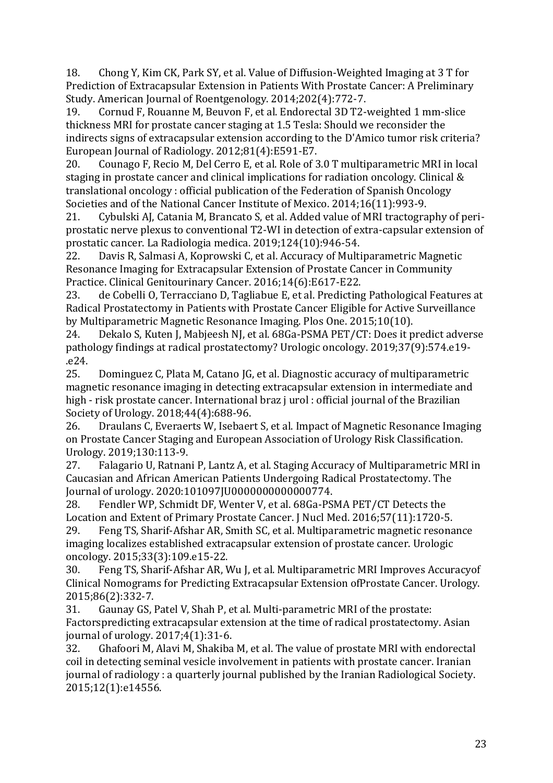18. Chong Y, Kim CK, Park SY, et al. Value of Diffusion-Weighted Imaging at 3 T for Prediction of Extracapsular Extension in Patients With Prostate Cancer: A Preliminary Study. American Journal of Roentgenology. 2014;202(4):772-7.

19. Cornud F, Rouanne M, Beuvon F, et al. Endorectal 3D T2-weighted 1 mm-slice thickness MRI for prostate cancer staging at 1.5 Tesla: Should we reconsider the indirects signs of extracapsular extension according to the D'Amico tumor risk criteria? European Journal of Radiology. 2012;81(4):E591-E7.

20. Counago F, Recio M, Del Cerro E, et al. Role of 3.0 T multiparametric MRI in local staging in prostate cancer and clinical implications for radiation oncology. Clinical & translational oncology : official publication of the Federation of Spanish Oncology Societies and of the National Cancer Institute of Mexico. 2014;16(11):993-9.

21. Cybulski AJ, Catania M, Brancato S, et al. Added value of MRI tractography of periprostatic nerve plexus to conventional T2-WI in detection of extra-capsular extension of prostatic cancer. La Radiologia medica. 2019;124(10):946-54.

22. Davis R, Salmasi A, Koprowski C, et al. Accuracy of Multiparametric Magnetic Resonance Imaging for Extracapsular Extension of Prostate Cancer in Community Practice. Clinical Genitourinary Cancer. 2016;14(6):E617-E22.

23. de Cobelli O, Terracciano D, Tagliabue E, et al. Predicting Pathological Features at Radical Prostatectomy in Patients with Prostate Cancer Eligible for Active Surveillance by Multiparametric Magnetic Resonance Imaging. Plos One. 2015;10(10).

24. Dekalo S, Kuten J, Mabjeesh NJ, et al. 68Ga-PSMA PET/CT: Does it predict adverse pathology findings at radical prostatectomy? Urologic oncology. 2019;37(9):574.e19- .e24.

25. Dominguez C, Plata M, Catano JG, et al. Diagnostic accuracy of multiparametric magnetic resonance imaging in detecting extracapsular extension in intermediate and high - risk prostate cancer. International braz j urol : official journal of the Brazilian Society of Urology. 2018;44(4):688-96.

26. Draulans C, Everaerts W, Isebaert S, et al. Impact of Magnetic Resonance Imaging on Prostate Cancer Staging and European Association of Urology Risk Classification. Urology. 2019;130:113-9.

27. Falagario U, Ratnani P, Lantz A, et al. Staging Accuracy of Multiparametric MRI in Caucasian and African American Patients Undergoing Radical Prostatectomy. The Journal of urology. 2020:101097JU0000000000000774.

28. Fendler WP, Schmidt DF, Wenter V, et al. 68Ga-PSMA PET/CT Detects the Location and Extent of Primary Prostate Cancer. J Nucl Med. 2016;57(11):1720-5. 29. Feng TS, Sharif-Afshar AR, Smith SC, et al. Multiparametric magnetic resonance

imaging localizes established extracapsular extension of prostate cancer. Urologic oncology. 2015;33(3):109.e15-22.

30. Feng TS, Sharif-Afshar AR, Wu J, et al. Multiparametric MRI Improves Accuracyof Clinical Nomograms for Predicting Extracapsular Extension ofProstate Cancer. Urology. 2015;86(2):332-7.

31. Gaunay GS, Patel V, Shah P, et al. Multi-parametric MRI of the prostate: Factorspredicting extracapsular extension at the time of radical prostatectomy. Asian journal of urology. 2017;4(1):31-6.

32. Ghafoori M, Alavi M, Shakiba M, et al. The value of prostate MRI with endorectal coil in detecting seminal vesicle involvement in patients with prostate cancer. Iranian journal of radiology : a quarterly journal published by the Iranian Radiological Society. 2015;12(1):e14556.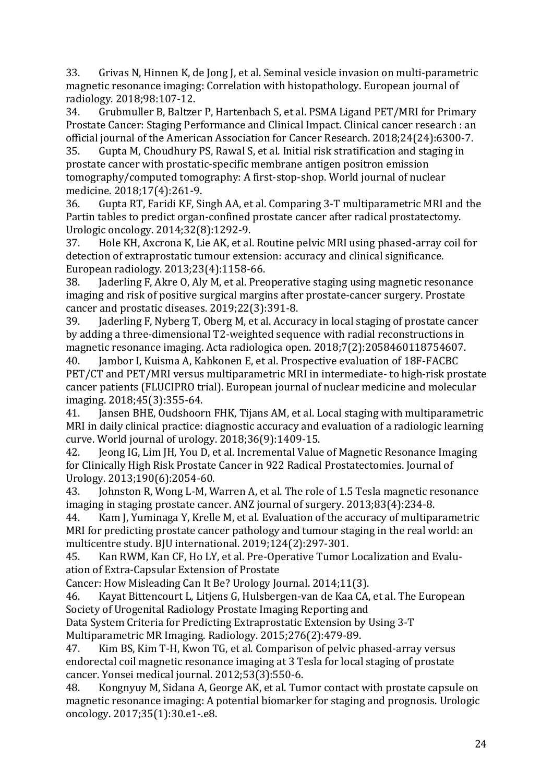33. Grivas N, Hinnen K, de Jong J, et al. Seminal vesicle invasion on multi-parametric magnetic resonance imaging: Correlation with histopathology. European journal of radiology. 2018;98:107-12.

34. Grubmuller B, Baltzer P, Hartenbach S, et al. PSMA Ligand PET/MRI for Primary Prostate Cancer: Staging Performance and Clinical Impact. Clinical cancer research : an official journal of the American Association for Cancer Research. 2018;24(24):6300-7.

35. Gupta M, Choudhury PS, Rawal S, et al. Initial risk stratification and staging in prostate cancer with prostatic-specific membrane antigen positron emission tomography/computed tomography: A first-stop-shop. World journal of nuclear medicine. 2018;17(4):261-9.

36. Gupta RT, Faridi KF, Singh AA, et al. Comparing 3-T multiparametric MRI and the Partin tables to predict organ-confined prostate cancer after radical prostatectomy. Urologic oncology. 2014;32(8):1292-9.

37. Hole KH, Axcrona K, Lie AK, et al. Routine pelvic MRI using phased-array coil for detection of extraprostatic tumour extension: accuracy and clinical significance. European radiology. 2013;23(4):1158-66.

38. Jaderling F, Akre O, Aly M, et al. Preoperative staging using magnetic resonance imaging and risk of positive surgical margins after prostate-cancer surgery. Prostate cancer and prostatic diseases. 2019;22(3):391-8.

39. Jaderling F, Nyberg T, Oberg M, et al. Accuracy in local staging of prostate cancer by adding a three-dimensional T2-weighted sequence with radial reconstructions in magnetic resonance imaging. Acta radiologica open. 2018;7(2):2058460118754607.

40. Jambor I, Kuisma A, Kahkonen E, et al. Prospective evaluation of 18F-FACBC PET/CT and PET/MRI versus multiparametric MRI in intermediate- to high-risk prostate cancer patients (FLUCIPRO trial). European journal of nuclear medicine and molecular imaging. 2018;45(3):355-64.

41. Jansen BHE, Oudshoorn FHK, Tijans AM, et al. Local staging with multiparametric MRI in daily clinical practice: diagnostic accuracy and evaluation of a radiologic learning curve. World journal of urology. 2018;36(9):1409-15.

42. Jeong IG, Lim JH, You D, et al. Incremental Value of Magnetic Resonance Imaging for Clinically High Risk Prostate Cancer in 922 Radical Prostatectomies. Journal of Urology. 2013;190(6):2054-60.

43. Johnston R, Wong L-M, Warren A, et al. The role of 1.5 Tesla magnetic resonance imaging in staging prostate cancer. ANZ journal of surgery. 2013;83(4):234-8.

44. Kam J, Yuminaga Y, Krelle M, et al. Evaluation of the accuracy of multiparametric MRI for predicting prostate cancer pathology and tumour staging in the real world: an multicentre study. BJU international. 2019;124(2):297-301.

45. Kan RWM, Kan CF, Ho LY, et al. Pre-Operative Tumor Localization and Evaluation of Extra-Capsular Extension of Prostate

Cancer: How Misleading Can It Be? Urology Journal. 2014;11(3).

46. Kayat Bittencourt L, Litjens G, Hulsbergen-van de Kaa CA, et al. The European Society of Urogenital Radiology Prostate Imaging Reporting and

Data System Criteria for Predicting Extraprostatic Extension by Using 3-T Multiparametric MR Imaging. Radiology. 2015;276(2):479-89.

47. Kim BS, Kim T-H, Kwon TG, et al. Comparison of pelvic phased-array versus endorectal coil magnetic resonance imaging at 3 Tesla for local staging of prostate cancer. Yonsei medical journal. 2012;53(3):550-6.

48. Kongnyuy M, Sidana A, George AK, et al. Tumor contact with prostate capsule on magnetic resonance imaging: A potential biomarker for staging and prognosis. Urologic oncology. 2017;35(1):30.e1-.e8.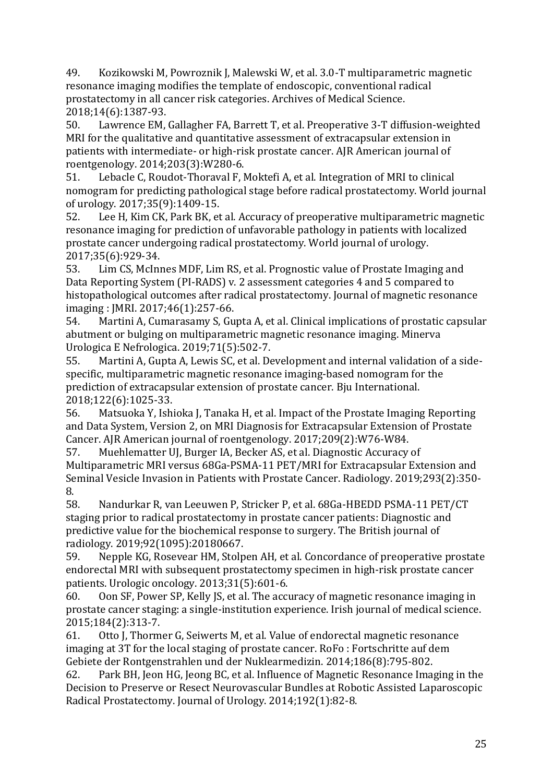49. Kozikowski M, Powroznik J, Malewski W, et al. 3.0-T multiparametric magnetic resonance imaging modifies the template of endoscopic, conventional radical prostatectomy in all cancer risk categories. Archives of Medical Science. 2018;14(6):1387-93.

50. Lawrence EM, Gallagher FA, Barrett T, et al. Preoperative 3-T diffusion-weighted MRI for the qualitative and quantitative assessment of extracapsular extension in patients with intermediate- or high-risk prostate cancer. AJR American journal of roentgenology. 2014;203(3):W280-6.

51. Lebacle C, Roudot-Thoraval F, Moktefi A, et al. Integration of MRI to clinical nomogram for predicting pathological stage before radical prostatectomy. World journal of urology. 2017;35(9):1409-15.

52. Lee H, Kim CK, Park BK, et al. Accuracy of preoperative multiparametric magnetic resonance imaging for prediction of unfavorable pathology in patients with localized prostate cancer undergoing radical prostatectomy. World journal of urology. 2017;35(6):929-34.

53. Lim CS, McInnes MDF, Lim RS, et al. Prognostic value of Prostate Imaging and Data Reporting System (PI-RADS) v. 2 assessment categories 4 and 5 compared to histopathological outcomes after radical prostatectomy. Journal of magnetic resonance imaging : JMRI. 2017;46(1):257-66.

54. Martini A, Cumarasamy S, Gupta A, et al. Clinical implications of prostatic capsular abutment or bulging on multiparametric magnetic resonance imaging. Minerva Urologica E Nefrologica. 2019;71(5):502-7.

55. Martini A, Gupta A, Lewis SC, et al. Development and internal validation of a sidespecific, multiparametric magnetic resonance imaging-based nomogram for the prediction of extracapsular extension of prostate cancer. Bju International. 2018;122(6):1025-33.

56. Matsuoka Y, Ishioka J, Tanaka H, et al. Impact of the Prostate Imaging Reporting and Data System, Version 2, on MRI Diagnosis for Extracapsular Extension of Prostate Cancer. AJR American journal of roentgenology. 2017;209(2):W76-W84.

57. Muehlematter UJ, Burger IA, Becker AS, et al. Diagnostic Accuracy of Multiparametric MRI versus 68Ga-PSMA-11 PET/MRI for Extracapsular Extension and Seminal Vesicle Invasion in Patients with Prostate Cancer. Radiology. 2019;293(2):350- 8.

58. Nandurkar R, van Leeuwen P, Stricker P, et al. 68Ga-HBEDD PSMA-11 PET/CT staging prior to radical prostatectomy in prostate cancer patients: Diagnostic and predictive value for the biochemical response to surgery. The British journal of radiology. 2019;92(1095):20180667.

59. Nepple KG, Rosevear HM, Stolpen AH, et al. Concordance of preoperative prostate endorectal MRI with subsequent prostatectomy specimen in high-risk prostate cancer patients. Urologic oncology. 2013;31(5):601-6.

60. Oon SF, Power SP, Kelly JS, et al. The accuracy of magnetic resonance imaging in prostate cancer staging: a single-institution experience. Irish journal of medical science. 2015;184(2):313-7.

61. Otto J, Thormer G, Seiwerts M, et al. Value of endorectal magnetic resonance imaging at 3T for the local staging of prostate cancer. RoFo : Fortschritte auf dem Gebiete der Rontgenstrahlen und der Nuklearmedizin. 2014;186(8):795-802.

62. Park BH, Jeon HG, Jeong BC, et al. Influence of Magnetic Resonance Imaging in the Decision to Preserve or Resect Neurovascular Bundles at Robotic Assisted Laparoscopic Radical Prostatectomy. Journal of Urology. 2014;192(1):82-8.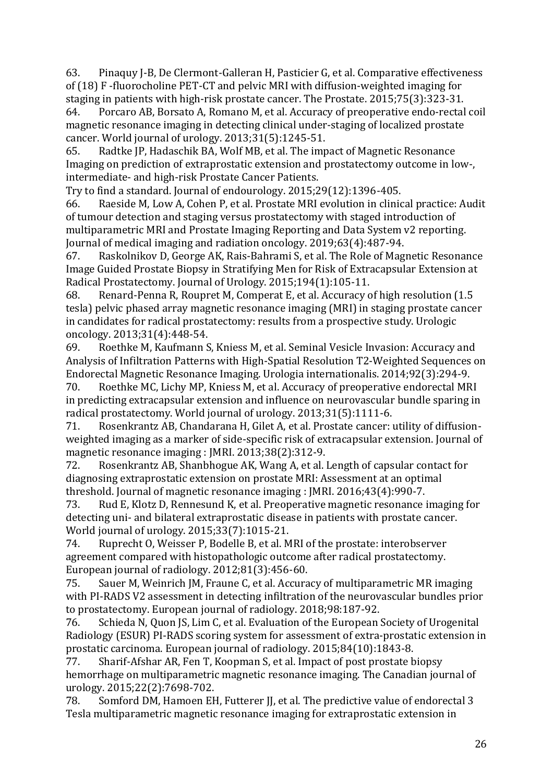63. Pinaquy J-B, De Clermont-Galleran H, Pasticier G, et al. Comparative effectiveness of (18) F -fluorocholine PET-CT and pelvic MRI with diffusion-weighted imaging for staging in patients with high-risk prostate cancer. The Prostate. 2015;75(3):323-31.

64. Porcaro AB, Borsato A, Romano M, et al. Accuracy of preoperative endo-rectal coil magnetic resonance imaging in detecting clinical under-staging of localized prostate cancer. World journal of urology. 2013;31(5):1245-51.

65. Radtke JP, Hadaschik BA, Wolf MB, et al. The impact of Magnetic Resonance Imaging on prediction of extraprostatic extension and prostatectomy outcome in low-, intermediate- and high-risk Prostate Cancer Patients.

Try to find a standard. Journal of endourology. 2015;29(12):1396-405.

66. Raeside M, Low A, Cohen P, et al. Prostate MRI evolution in clinical practice: Audit of tumour detection and staging versus prostatectomy with staged introduction of multiparametric MRI and Prostate Imaging Reporting and Data System v2 reporting. Journal of medical imaging and radiation oncology. 2019;63(4):487-94.

67. Raskolnikov D, George AK, Rais-Bahrami S, et al. The Role of Magnetic Resonance Image Guided Prostate Biopsy in Stratifying Men for Risk of Extracapsular Extension at Radical Prostatectomy. Journal of Urology. 2015;194(1):105-11.

68. Renard-Penna R, Roupret M, Comperat E, et al. Accuracy of high resolution (1.5 tesla) pelvic phased array magnetic resonance imaging (MRI) in staging prostate cancer in candidates for radical prostatectomy: results from a prospective study. Urologic oncology. 2013;31(4):448-54.

69. Roethke M, Kaufmann S, Kniess M, et al. Seminal Vesicle Invasion: Accuracy and Analysis of Infiltration Patterns with High-Spatial Resolution T2-Weighted Sequences on Endorectal Magnetic Resonance Imaging. Urologia internationalis. 2014;92(3):294-9.

70. Roethke MC, Lichy MP, Kniess M, et al. Accuracy of preoperative endorectal MRI in predicting extracapsular extension and influence on neurovascular bundle sparing in radical prostatectomy. World journal of urology. 2013;31(5):1111-6.

71. Rosenkrantz AB, Chandarana H, Gilet A, et al. Prostate cancer: utility of diffusionweighted imaging as a marker of side-specific risk of extracapsular extension. Journal of magnetic resonance imaging : JMRI. 2013;38(2):312-9.

72. Rosenkrantz AB, Shanbhogue AK, Wang A, et al. Length of capsular contact for diagnosing extraprostatic extension on prostate MRI: Assessment at an optimal threshold. Journal of magnetic resonance imaging : JMRI. 2016;43(4):990-7.

73. Rud E, Klotz D, Rennesund K, et al. Preoperative magnetic resonance imaging for detecting uni- and bilateral extraprostatic disease in patients with prostate cancer. World journal of urology. 2015;33(7):1015-21.

74. Ruprecht O, Weisser P, Bodelle B, et al. MRI of the prostate: interobserver agreement compared with histopathologic outcome after radical prostatectomy. European journal of radiology. 2012;81(3):456-60.

75. Sauer M, Weinrich JM, Fraune C, et al. Accuracy of multiparametric MR imaging with PI-RADS V2 assessment in detecting infiltration of the neurovascular bundles prior to prostatectomy. European journal of radiology. 2018;98:187-92.

76. Schieda N, Quon JS, Lim C, et al. Evaluation of the European Society of Urogenital Radiology (ESUR) PI-RADS scoring system for assessment of extra-prostatic extension in prostatic carcinoma. European journal of radiology. 2015;84(10):1843-8.

77. Sharif-Afshar AR, Fen T, Koopman S, et al. Impact of post prostate biopsy hemorrhage on multiparametric magnetic resonance imaging. The Canadian journal of urology. 2015;22(2):7698-702.

78. Somford DM, Hamoen EH, Futterer JJ, et al. The predictive value of endorectal 3 Tesla multiparametric magnetic resonance imaging for extraprostatic extension in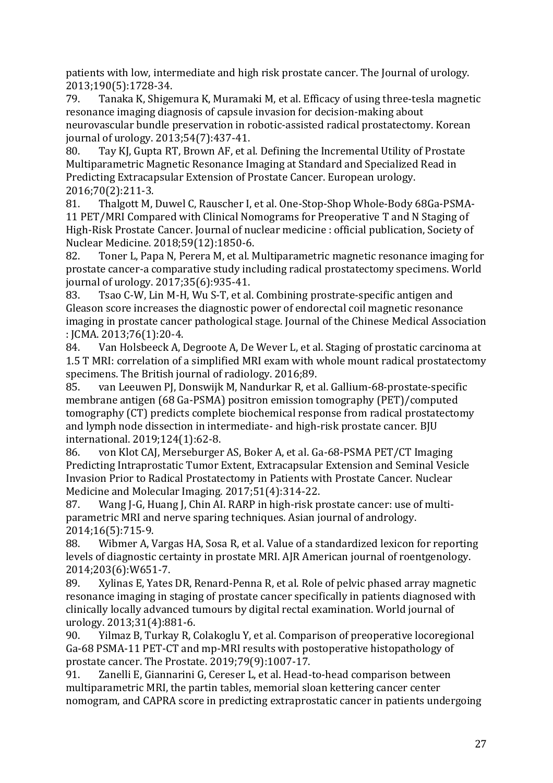patients with low, intermediate and high risk prostate cancer. The Journal of urology. 2013;190(5):1728-34.

79. Tanaka K, Shigemura K, Muramaki M, et al. Efficacy of using three-tesla magnetic resonance imaging diagnosis of capsule invasion for decision-making about neurovascular bundle preservation in robotic-assisted radical prostatectomy. Korean journal of urology. 2013;54(7):437-41.

80. Tay KJ, Gupta RT, Brown AF, et al. Defining the Incremental Utility of Prostate Multiparametric Magnetic Resonance Imaging at Standard and Specialized Read in Predicting Extracapsular Extension of Prostate Cancer. European urology. 2016;70(2):211-3.

81. Thalgott M, Duwel C, Rauscher I, et al. One-Stop-Shop Whole-Body 68Ga-PSMA-11 PET/MRI Compared with Clinical Nomograms for Preoperative T and N Staging of High-Risk Prostate Cancer. Journal of nuclear medicine : official publication, Society of Nuclear Medicine. 2018;59(12):1850-6.

82. Toner L, Papa N, Perera M, et al. Multiparametric magnetic resonance imaging for prostate cancer-a comparative study including radical prostatectomy specimens. World journal of urology. 2017;35(6):935-41.

83. Tsao C-W, Lin M-H, Wu S-T, et al. Combining prostrate-specific antigen and Gleason score increases the diagnostic power of endorectal coil magnetic resonance imaging in prostate cancer pathological stage. Journal of the Chinese Medical Association : JCMA. 2013;76(1):20-4.

84. Van Holsbeeck A, Degroote A, De Wever L, et al. Staging of prostatic carcinoma at 1.5 T MRI: correlation of a simplified MRI exam with whole mount radical prostatectomy specimens. The British journal of radiology. 2016;89.

85. van Leeuwen PJ, Donswijk M, Nandurkar R, et al. Gallium-68-prostate-specific membrane antigen (68 Ga-PSMA) positron emission tomography (PET)/computed tomography (CT) predicts complete biochemical response from radical prostatectomy and lymph node dissection in intermediate- and high-risk prostate cancer. BJU international. 2019;124(1):62-8.

86. von Klot CAJ, Merseburger AS, Boker A, et al. Ga-68-PSMA PET/CT Imaging Predicting Intraprostatic Tumor Extent, Extracapsular Extension and Seminal Vesicle Invasion Prior to Radical Prostatectomy in Patients with Prostate Cancer. Nuclear Medicine and Molecular Imaging. 2017;51(4):314-22.

87. Wang J-G, Huang J, Chin AI. RARP in high-risk prostate cancer: use of multiparametric MRI and nerve sparing techniques. Asian journal of andrology. 2014;16(5):715-9.

88. Wibmer A, Vargas HA, Sosa R, et al. Value of a standardized lexicon for reporting levels of diagnostic certainty in prostate MRI. AJR American journal of roentgenology. 2014;203(6):W651-7.

89. Xylinas E, Yates DR, Renard-Penna R, et al. Role of pelvic phased array magnetic resonance imaging in staging of prostate cancer specifically in patients diagnosed with clinically locally advanced tumours by digital rectal examination. World journal of urology. 2013;31(4):881-6.

90. Yilmaz B, Turkay R, Colakoglu Y, et al. Comparison of preoperative locoregional Ga-68 PSMA-11 PET-CT and mp-MRI results with postoperative histopathology of prostate cancer. The Prostate. 2019;79(9):1007-17.

91. Zanelli E, Giannarini G, Cereser L, et al. Head-to-head comparison between multiparametric MRI, the partin tables, memorial sloan kettering cancer center nomogram, and CAPRA score in predicting extraprostatic cancer in patients undergoing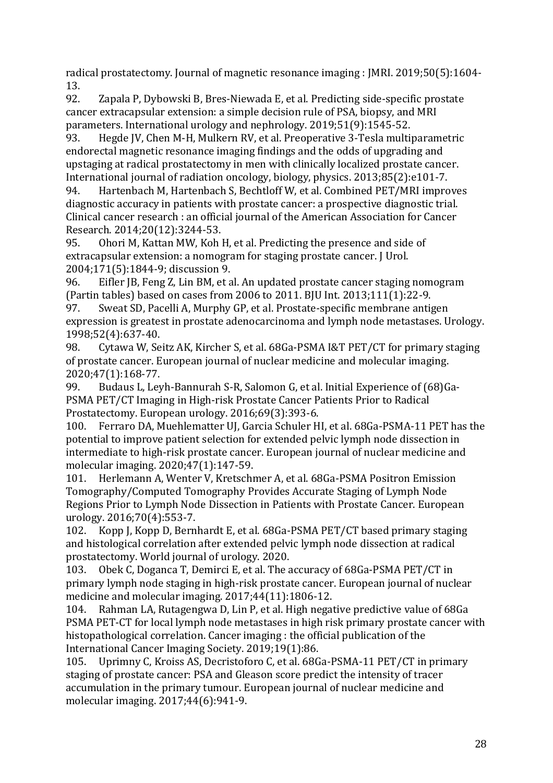radical prostatectomy. Journal of magnetic resonance imaging : JMRI. 2019;50(5):1604- 13.

92. Zapala P, Dybowski B, Bres-Niewada E, et al. Predicting side-specific prostate cancer extracapsular extension: a simple decision rule of PSA, biopsy, and MRI parameters. International urology and nephrology. 2019;51(9):1545-52.

93. Hegde JV, Chen M-H, Mulkern RV, et al. Preoperative 3-Tesla multiparametric endorectal magnetic resonance imaging findings and the odds of upgrading and upstaging at radical prostatectomy in men with clinically localized prostate cancer. International journal of radiation oncology, biology, physics. 2013;85(2):e101-7.

94. Hartenbach M, Hartenbach S, Bechtloff W, et al. Combined PET/MRI improves diagnostic accuracy in patients with prostate cancer: a prospective diagnostic trial. Clinical cancer research : an official journal of the American Association for Cancer Research. 2014;20(12):3244-53.

95. Ohori M, Kattan MW, Koh H, et al. Predicting the presence and side of extracapsular extension: a nomogram for staging prostate cancer. J Urol. 2004;171(5):1844-9; discussion 9.

96. Eifler JB, Feng Z, Lin BM, et al. An updated prostate cancer staging nomogram (Partin tables) based on cases from 2006 to 2011. BJU Int. 2013;111(1):22-9.

97. Sweat SD, Pacelli A, Murphy GP, et al. Prostate-specific membrane antigen expression is greatest in prostate adenocarcinoma and lymph node metastases. Urology. 1998;52(4):637-40.

98. Cytawa W, Seitz AK, Kircher S, et al. 68Ga-PSMA I&T PET/CT for primary staging of prostate cancer. European journal of nuclear medicine and molecular imaging. 2020;47(1):168-77.

99. Budaus L, Leyh-Bannurah S-R, Salomon G, et al. Initial Experience of (68)Ga-PSMA PET/CT Imaging in High-risk Prostate Cancer Patients Prior to Radical Prostatectomy. European urology. 2016;69(3):393-6.

100. Ferraro DA, Muehlematter UJ, Garcia Schuler HI, et al. 68Ga-PSMA-11 PET has the potential to improve patient selection for extended pelvic lymph node dissection in intermediate to high-risk prostate cancer. European journal of nuclear medicine and molecular imaging. 2020;47(1):147-59.

101. Herlemann A, Wenter V, Kretschmer A, et al. 68Ga-PSMA Positron Emission Tomography/Computed Tomography Provides Accurate Staging of Lymph Node Regions Prior to Lymph Node Dissection in Patients with Prostate Cancer. European urology. 2016;70(4):553-7.

102. Kopp J, Kopp D, Bernhardt E, et al. 68Ga-PSMA PET/CT based primary staging and histological correlation after extended pelvic lymph node dissection at radical prostatectomy. World journal of urology. 2020.

103. Obek C, Doganca T, Demirci E, et al. The accuracy of 68Ga-PSMA PET/CT in primary lymph node staging in high-risk prostate cancer. European journal of nuclear medicine and molecular imaging. 2017;44(11):1806-12.

104. Rahman LA, Rutagengwa D, Lin P, et al. High negative predictive value of 68Ga PSMA PET-CT for local lymph node metastases in high risk primary prostate cancer with histopathological correlation. Cancer imaging : the official publication of the International Cancer Imaging Society. 2019;19(1):86.

105. Uprimny C, Kroiss AS, Decristoforo C, et al. 68Ga-PSMA-11 PET/CT in primary staging of prostate cancer: PSA and Gleason score predict the intensity of tracer accumulation in the primary tumour. European journal of nuclear medicine and molecular imaging. 2017;44(6):941-9.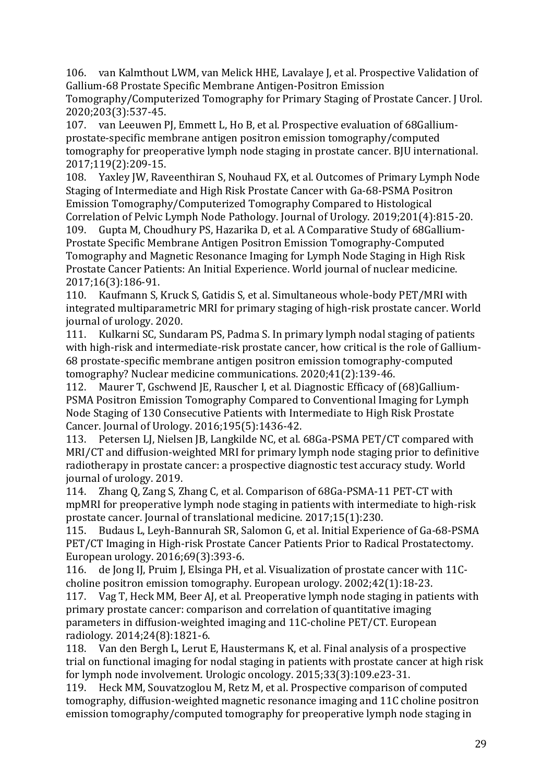106. van Kalmthout LWM, van Melick HHE, Lavalaye J, et al. Prospective Validation of Gallium-68 Prostate Specific Membrane Antigen-Positron Emission

Tomography/Computerized Tomography for Primary Staging of Prostate Cancer. J Urol. 2020;203(3):537-45.

107. van Leeuwen PJ, Emmett L, Ho B, et al. Prospective evaluation of 68Galliumprostate-specific membrane antigen positron emission tomography/computed tomography for preoperative lymph node staging in prostate cancer. BJU international. 2017;119(2):209-15.

108. Yaxley JW, Raveenthiran S, Nouhaud FX, et al. Outcomes of Primary Lymph Node Staging of Intermediate and High Risk Prostate Cancer with Ga-68-PSMA Positron Emission Tomography/Computerized Tomography Compared to Histological Correlation of Pelvic Lymph Node Pathology. Journal of Urology. 2019;201(4):815-20.

109. Gupta M, Choudhury PS, Hazarika D, et al. A Comparative Study of 68Gallium-Prostate Specific Membrane Antigen Positron Emission Tomography-Computed Tomography and Magnetic Resonance Imaging for Lymph Node Staging in High Risk Prostate Cancer Patients: An Initial Experience. World journal of nuclear medicine. 2017;16(3):186-91.

110. Kaufmann S, Kruck S, Gatidis S, et al. Simultaneous whole-body PET/MRI with integrated multiparametric MRI for primary staging of high-risk prostate cancer. World journal of urology. 2020.

111. Kulkarni SC, Sundaram PS, Padma S. In primary lymph nodal staging of patients with high-risk and intermediate-risk prostate cancer, how critical is the role of Gallium-68 prostate-specific membrane antigen positron emission tomography-computed tomography? Nuclear medicine communications. 2020;41(2):139-46.

112. Maurer T, Gschwend JE, Rauscher I, et al. Diagnostic Efficacy of (68)Gallium-PSMA Positron Emission Tomography Compared to Conventional Imaging for Lymph Node Staging of 130 Consecutive Patients with Intermediate to High Risk Prostate Cancer. Journal of Urology. 2016;195(5):1436-42.

113. Petersen LJ, Nielsen JB, Langkilde NC, et al. 68Ga-PSMA PET/CT compared with MRI/CT and diffusion-weighted MRI for primary lymph node staging prior to definitive radiotherapy in prostate cancer: a prospective diagnostic test accuracy study. World journal of urology. 2019.

114. Zhang Q, Zang S, Zhang C, et al. Comparison of 68Ga-PSMA-11 PET-CT with mpMRI for preoperative lymph node staging in patients with intermediate to high-risk prostate cancer. Journal of translational medicine. 2017;15(1):230.

115. Budaus L, Leyh-Bannurah SR, Salomon G, et al. Initial Experience of Ga-68-PSMA PET/CT Imaging in High-risk Prostate Cancer Patients Prior to Radical Prostatectomy. European urology. 2016;69(3):393-6.

116. de Jong IJ, Pruim J, Elsinga PH, et al. Visualization of prostate cancer with 11Ccholine positron emission tomography. European urology. 2002;42(1):18-23.

117. Vag T, Heck MM, Beer AJ, et al. Preoperative lymph node staging in patients with primary prostate cancer: comparison and correlation of quantitative imaging parameters in diffusion-weighted imaging and 11C-choline PET/CT. European radiology. 2014;24(8):1821-6.

118. Van den Bergh L, Lerut E, Haustermans K, et al. Final analysis of a prospective trial on functional imaging for nodal staging in patients with prostate cancer at high risk for lymph node involvement. Urologic oncology. 2015;33(3):109.e23-31.

119. Heck MM, Souvatzoglou M, Retz M, et al. Prospective comparison of computed tomography, diffusion-weighted magnetic resonance imaging and 11C choline positron emission tomography/computed tomography for preoperative lymph node staging in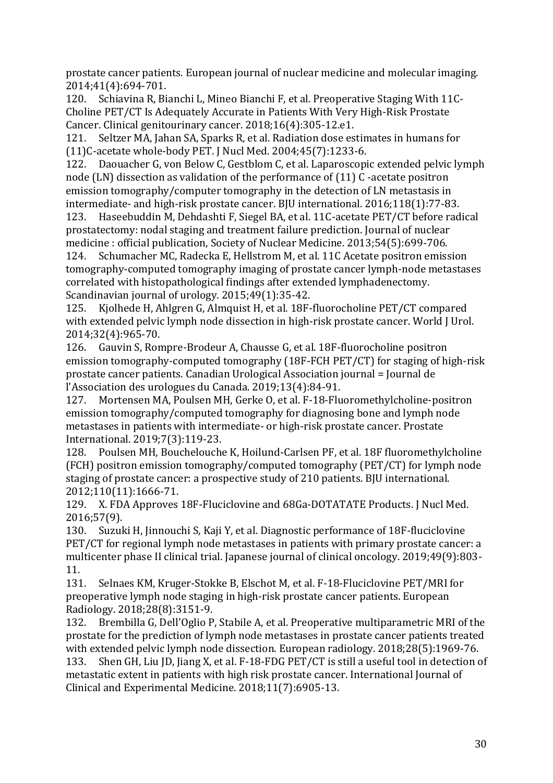prostate cancer patients. European journal of nuclear medicine and molecular imaging. 2014;41(4):694-701.

120. Schiavina R, Bianchi L, Mineo Bianchi F, et al. Preoperative Staging With 11C-Choline PET/CT Is Adequately Accurate in Patients With Very High-Risk Prostate Cancer. Clinical genitourinary cancer. 2018;16(4):305-12.e1.

121. Seltzer MA, Jahan SA, Sparks R, et al. Radiation dose estimates in humans for (11)C-acetate whole-body PET. J Nucl Med. 2004;45(7):1233-6.

122. Daouacher G, von Below C, Gestblom C, et al. Laparoscopic extended pelvic lymph node (LN) dissection as validation of the performance of (11) C -acetate positron emission tomography/computer tomography in the detection of LN metastasis in intermediate- and high-risk prostate cancer. BJU international. 2016;118(1):77-83.

123. Haseebuddin M, Dehdashti F, Siegel BA, et al. 11C-acetate PET/CT before radical prostatectomy: nodal staging and treatment failure prediction. Journal of nuclear medicine : official publication, Society of Nuclear Medicine. 2013;54(5):699-706.

124. Schumacher MC, Radecka E, Hellstrom M, et al. 11C Acetate positron emission tomography-computed tomography imaging of prostate cancer lymph-node metastases correlated with histopathological findings after extended lymphadenectomy. Scandinavian journal of urology. 2015;49(1):35-42.

125. Kjolhede H, Ahlgren G, Almquist H, et al. 18F-fluorocholine PET/CT compared with extended pelvic lymph node dissection in high-risk prostate cancer. World J Urol. 2014;32(4):965-70.

126. Gauvin S, Rompre-Brodeur A, Chausse G, et al. 18F-fluorocholine positron emission tomography-computed tomography (18F-FCH PET/CT) for staging of high-risk prostate cancer patients. Canadian Urological Association journal = Journal de l'Association des urologues du Canada. 2019;13(4):84-91.

127. Mortensen MA, Poulsen MH, Gerke O, et al. F-18-Fluoromethylcholine-positron emission tomography/computed tomography for diagnosing bone and lymph node metastases in patients with intermediate- or high-risk prostate cancer. Prostate International. 2019;7(3):119-23.

128. Poulsen MH, Bouchelouche K, Hoilund-Carlsen PF, et al. 18F fluoromethylcholine (FCH) positron emission tomography/computed tomography (PET/CT) for lymph node staging of prostate cancer: a prospective study of 210 patients. BJU international. 2012;110(11):1666-71.

129. X. FDA Approves 18F-Fluciclovine and 68Ga-DOTATATE Products. J Nucl Med. 2016;57(9).

130. Suzuki H, Jinnouchi S, Kaji Y, et al. Diagnostic performance of 18F-fluciclovine PET/CT for regional lymph node metastases in patients with primary prostate cancer: a multicenter phase II clinical trial. Japanese journal of clinical oncology. 2019;49(9):803- 11.

131. Selnaes KM, Kruger-Stokke B, Elschot M, et al. F-18-Fluciclovine PET/MRI for preoperative lymph node staging in high-risk prostate cancer patients. European Radiology. 2018;28(8):3151-9.

132. Brembilla G, Dell'Oglio P, Stabile A, et al. Preoperative multiparametric MRI of the prostate for the prediction of lymph node metastases in prostate cancer patients treated with extended pelvic lymph node dissection. European radiology. 2018;28(5):1969-76. 133. Shen GH, Liu JD, Jiang X, et al. F-18-FDG PET/CT is still a useful tool in detection of metastatic extent in patients with high risk prostate cancer. International Journal of Clinical and Experimental Medicine. 2018;11(7):6905-13.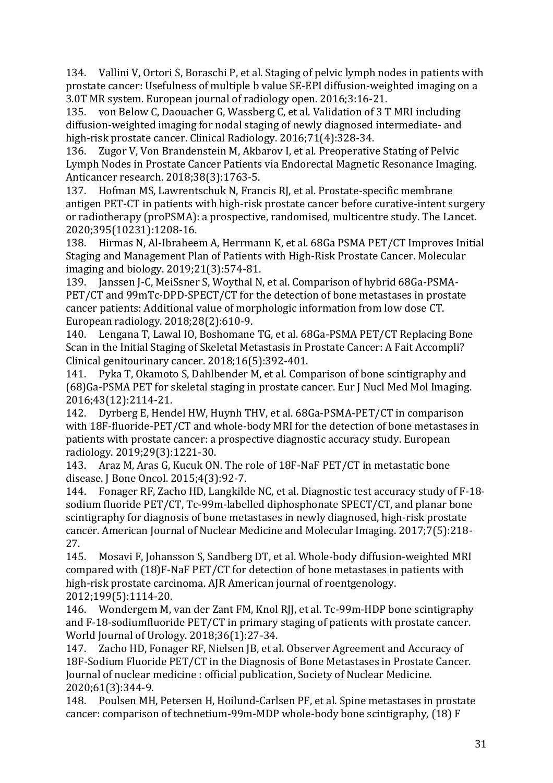134. Vallini V, Ortori S, Boraschi P, et al. Staging of pelvic lymph nodes in patients with prostate cancer: Usefulness of multiple b value SE-EPI diffusion-weighted imaging on a 3.0T MR system. European journal of radiology open. 2016;3:16-21.

135. von Below C, Daouacher G, Wassberg C, et al. Validation of 3 T MRI including diffusion-weighted imaging for nodal staging of newly diagnosed intermediate- and high-risk prostate cancer. Clinical Radiology. 2016;71(4):328-34.

136. Zugor V, Von Brandenstein M, Akbarov I, et al. Preoperative Stating of Pelvic Lymph Nodes in Prostate Cancer Patients via Endorectal Magnetic Resonance Imaging. Anticancer research. 2018;38(3):1763-5.

137. Hofman MS, Lawrentschuk N, Francis RJ, et al. Prostate-specific membrane antigen PET-CT in patients with high-risk prostate cancer before curative-intent surgery or radiotherapy (proPSMA): a prospective, randomised, multicentre study. The Lancet. 2020;395(10231):1208-16.

138. Hirmas N, Al-Ibraheem A, Herrmann K, et al. 68Ga PSMA PET/CT Improves Initial Staging and Management Plan of Patients with High-Risk Prostate Cancer. Molecular imaging and biology. 2019;21(3):574-81.

139. Janssen J-C, MeiSsner S, Woythal N, et al. Comparison of hybrid 68Ga-PSMA-PET/CT and 99mTc-DPD-SPECT/CT for the detection of bone metastases in prostate cancer patients: Additional value of morphologic information from low dose CT. European radiology. 2018;28(2):610-9.

140. Lengana T, Lawal IO, Boshomane TG, et al. 68Ga-PSMA PET/CT Replacing Bone Scan in the Initial Staging of Skeletal Metastasis in Prostate Cancer: A Fait Accompli? Clinical genitourinary cancer. 2018;16(5):392-401.

141. Pyka T, Okamoto S, Dahlbender M, et al. Comparison of bone scintigraphy and (68)Ga-PSMA PET for skeletal staging in prostate cancer. Eur J Nucl Med Mol Imaging. 2016;43(12):2114-21.

142. Dyrberg E, Hendel HW, Huynh THV, et al. 68Ga-PSMA-PET/CT in comparison with 18F-fluoride-PET/CT and whole-body MRI for the detection of bone metastases in patients with prostate cancer: a prospective diagnostic accuracy study. European radiology. 2019;29(3):1221-30.

143. Araz M, Aras G, Kucuk ON. The role of 18F-NaF PET/CT in metastatic bone disease. J Bone Oncol. 2015;4(3):92-7.

144. Fonager RF, Zacho HD, Langkilde NC, et al. Diagnostic test accuracy study of F-18 sodium fluoride PET/CT, Tc-99m-labelled diphosphonate SPECT/CT, and planar bone scintigraphy for diagnosis of bone metastases in newly diagnosed, high-risk prostate cancer. American Journal of Nuclear Medicine and Molecular Imaging. 2017;7(5):218- 27.

145. Mosavi F, Johansson S, Sandberg DT, et al. Whole-body diffusion-weighted MRI compared with (18)F-NaF PET/CT for detection of bone metastases in patients with high-risk prostate carcinoma. AJR American journal of roentgenology. 2012;199(5):1114-20.

146. Wondergem M, van der Zant FM, Knol RJJ, et al. Tc-99m-HDP bone scintigraphy and F-18-sodiumfluoride PET/CT in primary staging of patients with prostate cancer. World Journal of Urology. 2018;36(1):27-34.

147. Zacho HD, Fonager RF, Nielsen JB, et al. Observer Agreement and Accuracy of 18F-Sodium Fluoride PET/CT in the Diagnosis of Bone Metastases in Prostate Cancer. Journal of nuclear medicine : official publication, Society of Nuclear Medicine. 2020;61(3):344-9.

148. Poulsen MH, Petersen H, Hoilund-Carlsen PF, et al. Spine metastases in prostate cancer: comparison of technetium-99m-MDP whole-body bone scintigraphy, (18) F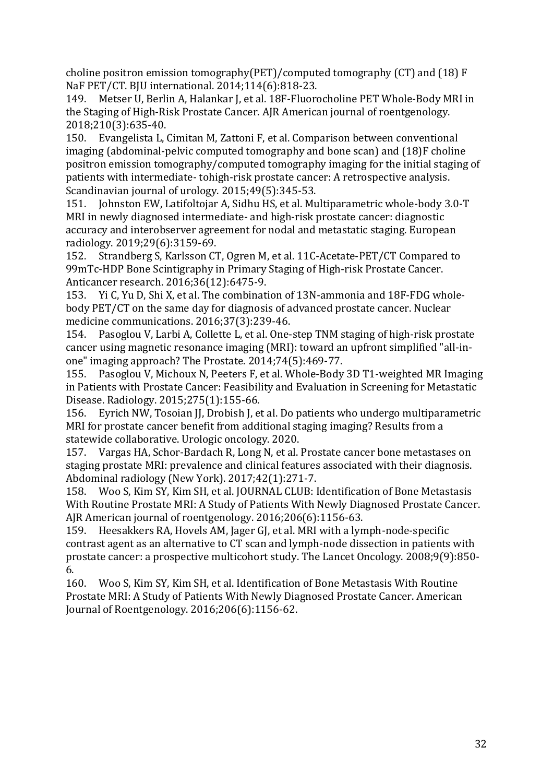choline positron emission tomography(PET)/computed tomography (CT) and (18) F NaF PET/CT. BJU international. 2014;114(6):818-23.

149. Metser U, Berlin A, Halankar J, et al. 18F-Fluorocholine PET Whole-Body MRI in the Staging of High-Risk Prostate Cancer. AJR American journal of roentgenology. 2018;210(3):635-40.

150. Evangelista L, Cimitan M, Zattoni F, et al. Comparison between conventional imaging (abdominal-pelvic computed tomography and bone scan) and (18)F choline positron emission tomography/computed tomography imaging for the initial staging of patients with intermediate- tohigh-risk prostate cancer: A retrospective analysis. Scandinavian journal of urology. 2015;49(5):345-53.

151. Johnston EW, Latifoltojar A, Sidhu HS, et al. Multiparametric whole-body 3.0-T MRI in newly diagnosed intermediate- and high-risk prostate cancer: diagnostic accuracy and interobserver agreement for nodal and metastatic staging. European radiology. 2019;29(6):3159-69.

152. Strandberg S, Karlsson CT, Ogren M, et al. 11C-Acetate-PET/CT Compared to 99mTc-HDP Bone Scintigraphy in Primary Staging of High-risk Prostate Cancer. Anticancer research. 2016;36(12):6475-9.

153. Yi C, Yu D, Shi X, et al. The combination of 13N-ammonia and 18F-FDG wholebody PET/CT on the same day for diagnosis of advanced prostate cancer. Nuclear medicine communications. 2016;37(3):239-46.

154. Pasoglou V, Larbi A, Collette L, et al. One-step TNM staging of high-risk prostate cancer using magnetic resonance imaging (MRI): toward an upfront simplified "all-inone" imaging approach? The Prostate. 2014;74(5):469-77.

155. Pasoglou V, Michoux N, Peeters F, et al. Whole-Body 3D T1-weighted MR Imaging in Patients with Prostate Cancer: Feasibility and Evaluation in Screening for Metastatic Disease. Radiology. 2015;275(1):155-66.

156. Eyrich NW, Tosoian JJ, Drobish J, et al. Do patients who undergo multiparametric MRI for prostate cancer benefit from additional staging imaging? Results from a statewide collaborative. Urologic oncology. 2020.

157. Vargas HA, Schor-Bardach R, Long N, et al. Prostate cancer bone metastases on staging prostate MRI: prevalence and clinical features associated with their diagnosis. Abdominal radiology (New York). 2017;42(1):271-7.

158. Woo S, Kim SY, Kim SH, et al. JOURNAL CLUB: Identification of Bone Metastasis With Routine Prostate MRI: A Study of Patients With Newly Diagnosed Prostate Cancer. AJR American journal of roentgenology. 2016;206(6):1156-63.

159. Heesakkers RA, Hovels AM, Jager GJ, et al. MRI with a lymph-node-specific contrast agent as an alternative to CT scan and lymph-node dissection in patients with prostate cancer: a prospective multicohort study. The Lancet Oncology. 2008;9(9):850- 6.

160. Woo S, Kim SY, Kim SH, et al. Identification of Bone Metastasis With Routine Prostate MRI: A Study of Patients With Newly Diagnosed Prostate Cancer. American Journal of Roentgenology. 2016;206(6):1156-62.